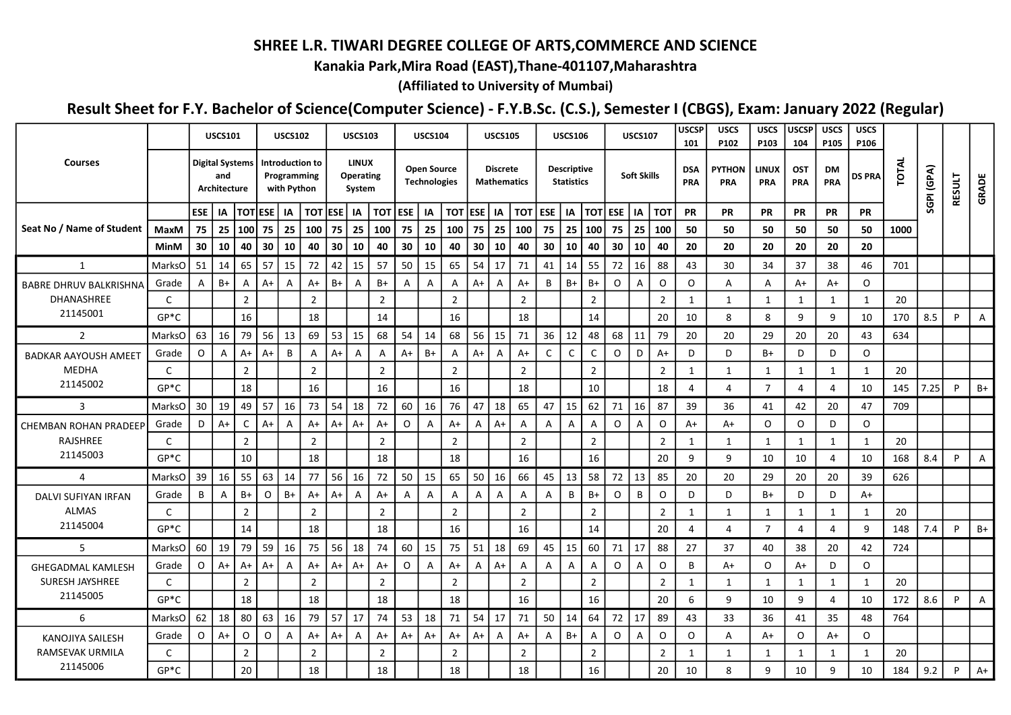## SHREE L.R. TIWARI DEGREE COLLEGE OF ARTS,COMMERCE AND SCIENCE

## Kanakia Park,Mira Road (EAST),Thane-401107,Maharashtra

(Affiliated to University of Mumbai)

## Result Sheet for F.Y. Bachelor of Science(Computer Science) - F.Y.B.Sc. (C.S.), Semester I (CBGS), Exam: January 2022 (Regular)

|                                    |             |          | <b>USCS101</b>                                |                |              | <b>USCS102</b>                                |                |                     | <b>USCS103</b>                      |                          |         | <b>USCS104</b>                            |                |                | <b>USCS105</b>                        |                |           | <b>USCS106</b>                          |                |    | <b>USCS107</b>     |                | <b>USCSP</b><br>101 | <b>USCS</b><br>P102         | <b>USCS</b><br>P103 | <b>USCSP</b><br>104 | <b>USCS</b><br>P105 | <b>USCS</b><br>P106 |              |            |               |                |
|------------------------------------|-------------|----------|-----------------------------------------------|----------------|--------------|-----------------------------------------------|----------------|---------------------|-------------------------------------|--------------------------|---------|-------------------------------------------|----------------|----------------|---------------------------------------|----------------|-----------|-----------------------------------------|----------------|----|--------------------|----------------|---------------------|-----------------------------|---------------------|---------------------|---------------------|---------------------|--------------|------------|---------------|----------------|
| <b>Courses</b>                     |             |          | <b>Digital Systems</b><br>and<br>Architecture |                |              | Introduction to<br>Programming<br>with Python |                |                     | <b>LINUX</b><br>Operating<br>System |                          |         | <b>Open Source</b><br><b>Technologies</b> |                |                | <b>Discrete</b><br><b>Mathematics</b> |                |           | <b>Descriptive</b><br><b>Statistics</b> |                |    | <b>Soft Skills</b> |                | <b>DSA</b><br>PRA   | <b>PYTHON</b><br><b>PRA</b> | <b>LINUX</b><br>PRA | <b>OST</b><br>PRA   | DM<br>PRA           | <b>DS PRA</b>       | <b>TOTAL</b> | SGPI (GPA) | <b>RESULT</b> | GRADE          |
|                                    |             | ESE   IA |                                               | <b>TOTESE</b>  |              | IA                                            |                | <b>TOT ESE   IA</b> |                                     | $\overline{OT}$ ESE   IA |         |                                           | TOT  ESE       |                | IA                                    |                | TOT   ESE | IA                                      | <b>TOT ESE</b> |    | IA                 | тот            | <b>PR</b>           | PR                          | PR                  | PR                  | PR                  | PR                  |              |            |               |                |
| Seat No / Name of Student          | MaxM        | 75       | 25                                            | 100            | 75           | 25                                            | 100            | 75                  | 25                                  | 100                      | 75      | 25                                        | 100            | 75             | 25                                    | 100            | 75        | 25                                      | 100            | 75 | 25                 | 100            | 50                  | 50                          | 50                  | 50                  | 50                  | 50                  | 1000         |            |               |                |
|                                    | <b>MinM</b> | 30       | 10                                            | 40             | 30           | 10                                            | 40             | 30                  | 10                                  | 40                       | 30      | 10                                        | 40             | 30             | 10                                    | 40             | 30        | 10                                      | 40             | 30 | 10                 | 40             | 20                  | 20                          | 20                  | 20                  | 20                  | 20                  |              |            |               |                |
| $\mathbf{1}$                       | MarksO      | 51       | 14                                            | 65             | 57           | 15                                            | 72             | 42                  | 15                                  | 57                       | 50      | 15                                        | 65             | 54             | 17                                    | 71             | 41        | 14                                      | 55             | 72 | 16                 | 88             | 43                  | 30                          | 34                  | 37                  | 38                  | 46                  | 701          |            |               |                |
| <b>BABRE DHRUV BALKRISHNA</b>      | Grade       | Α        | $B+$                                          | A              | $A+$         | A                                             | $A+$           | $B+$                | А                                   | $B+$                     | A       | A                                         | Α              | A+             | A                                     | A+             | В         | $B+$                                    | $B+$           | O  | $\overline{A}$     | $\mathsf O$    | $\circ$             | A                           | A                   | A+                  | A+                  | $\circ$             |              |            |               |                |
| DHANASHREE                         | C           |          |                                               | $\overline{2}$ |              |                                               | $\overline{2}$ |                     |                                     | $\overline{2}$           |         |                                           | $\overline{2}$ |                |                                       | $\overline{2}$ |           |                                         | $\overline{2}$ |    |                    | $\overline{2}$ | 1                   | $\mathbf 1$                 | 1                   | $\mathbf{1}$        | -1                  | 1                   | 20           |            |               |                |
| 21145001                           | $GP*C$      |          |                                               | 16             |              |                                               | 18             |                     |                                     | 14                       |         |                                           | 16             |                |                                       | 18             |           |                                         | 14             |    |                    | 20             | 10                  | 8                           | 8                   | 9                   | q                   | 10                  | 170          | 8.5        | P             | A              |
| $\overline{2}$                     | MarksO      | 63       | 16                                            | 79             | 56           | 13                                            | 69             | 53                  | 15                                  | 68                       | 54      | 14                                        | 68             | 56             | 15                                    | 71             | 36        | 12                                      | 48             | 68 | 11                 | 79             | 20                  | 20                          | 29                  | 20                  | 20                  | 43                  | 634          |            |               |                |
| <b>BADKAR AAYOUSH AMEET</b>        | Grade       | $\circ$  | A                                             | $A+$           | $A+$         | B                                             | A              | $A+$                | Α                                   | A                        | A+      | $B+$                                      | A              | $A+$           | A                                     | $A+$           | C         | C                                       | $\mathsf{C}$   | 0  | D                  | $A+$           | D                   | D                           | B+                  | D                   | D                   | $\circ$             |              |            |               |                |
| <b>MEDHA</b>                       | C           |          |                                               | $\overline{2}$ |              |                                               | $\overline{2}$ |                     |                                     | $\overline{2}$           |         |                                           | $\overline{2}$ |                |                                       | $\overline{2}$ |           |                                         | $\overline{2}$ |    |                    | $\overline{2}$ | $\mathbf{1}$        |                             | $\mathbf{1}$        | 1                   |                     | 1                   | 20           |            |               |                |
| 21145002                           | $GP*C$      |          |                                               | 18             |              |                                               | 16             |                     |                                     | 16                       |         |                                           | 16             |                |                                       | 18             |           |                                         | $10\,$         |    |                    | 18             | $\overline{4}$      | $\Delta$                    | $\overline{7}$      | 4                   | 4                   | 10                  | 145          | 7.25       | P             | $B+$           |
| 3                                  | MarksO      | 30       | 19                                            | 49             | 57           | 16                                            | 73             | 54                  | 18                                  | 72                       | 60      | 16                                        | 76             | 47             | 18                                    | 65             | 47        | 15                                      | 62             | 71 | 16                 | 87             | 39                  | 36                          | 41                  | 42                  | 20                  | 47                  | 709          |            |               |                |
| <b>CHEMBAN ROHAN PRADEEP</b>       | Grade       | D        | $A+$                                          | C              | $A+$         | A                                             | $A+$           | $A+$                | $A+$                                | $A+$                     | $\circ$ | $\mathsf{A}$                              | A+             | $\overline{A}$ | $A+$                                  | A              | Α         | A                                       | A              | O  | A                  | $\mathsf O$    | $A+$                | A+                          | $\circ$             | $\circ$             | D                   | $\circ$             |              |            |               |                |
| RAJSHREE                           | C           |          |                                               | $\overline{2}$ |              |                                               | $\overline{2}$ |                     |                                     | $\overline{2}$           |         |                                           | $\overline{2}$ |                |                                       | $\overline{2}$ |           |                                         | $\overline{2}$ |    |                    | $\overline{2}$ | $\mathbf{1}$        | 1                           | $\mathbf{1}$        | 1                   | 1                   | 1                   | 20           |            |               |                |
| 21145003                           | $GP*C$      |          |                                               | 10             |              |                                               | 18             |                     |                                     | 18                       |         |                                           | 18             |                |                                       | 16             |           |                                         | 16             |    |                    | 20             | 9                   | 9                           | 10                  | 10                  | 4                   | 10                  | 168          | 8.4        | P             | $\overline{A}$ |
| $\overline{4}$                     | MarksO      | 39       | 16                                            | 55             | 63           | 14                                            | 77             | 56                  | 16                                  | 72                       | 50      | 15                                        | 65             | 50             | 16                                    | 66             | 45        | 13                                      | 58             | 72 | 13                 | 85             | 20                  | 20                          | 29                  | 20                  | 20                  | 39                  | 626          |            |               |                |
| DALVI SUFIYAN IRFAN                | Grade       | B        | Α                                             | B+             | $\mathsf{O}$ | $B+$                                          | $A+$           | $A+$                | A                                   | $A+$                     | A       | A                                         | Α              | A              | A                                     | A              | A         | В                                       | $B+$           | O  | B                  | $\mathsf O$    | D                   | D                           | B+                  | D                   | D                   | A+                  |              |            |               |                |
| <b>ALMAS</b><br>21145004           | C           |          |                                               | $\overline{2}$ |              |                                               | $\overline{2}$ |                     |                                     | $\overline{2}$           |         |                                           | $\overline{2}$ |                |                                       | $\overline{2}$ |           |                                         | $\overline{2}$ |    |                    | $\overline{2}$ | 1                   |                             | 1                   | -1                  |                     | 1                   | 20           |            |               |                |
|                                    | $GP*C$      |          |                                               | 14             |              |                                               | 18             |                     |                                     | 18                       |         |                                           | 16             |                |                                       | 16             |           |                                         | 14             |    |                    | 20             | $\overline{4}$      | $\Delta$                    | $\overline{7}$      | 4                   | 4                   | 9                   | 148          | 7.4        | P             | B+             |
| 5                                  | MarksO      | 60       | 19                                            | 79             | 59           | 16                                            | 75             | 56                  | 18                                  | 74                       | 60      | 15                                        | 75             | 51             | 18                                    | 69             | 45        | 15                                      | 60             | 71 | 17                 | 88             | 27                  | 37                          | 40                  | 38                  | 20                  | 42                  | 724          |            |               |                |
| <b>GHEGADMAL KAMLESH</b>           | Grade       | $\circ$  | A+                                            | A+             | $A+$         | А                                             | $A+$           | $A+$                | $A+$                                | $A+$                     | $\circ$ | A                                         | $A+$           | $\mathsf{A}$   | A+                                    | A              | A         | A                                       | Α              | O  | A                  | $\mathsf O$    | B                   | A+                          | $\circ$             | A+                  | D                   | $\circ$             |              |            |               |                |
| <b>SURESH JAYSHREE</b><br>21145005 | C           |          |                                               | $\overline{2}$ |              |                                               | $\overline{2}$ |                     |                                     | $\overline{2}$           |         |                                           | $\overline{2}$ |                |                                       | $\overline{2}$ |           |                                         | $\overline{2}$ |    |                    | $\overline{2}$ | $\mathbf{1}$        | -1                          | 1                   | 1                   | $\mathbf 1$         | 1                   | 20           |            |               |                |
|                                    | $GP*C$      |          |                                               | 18             |              |                                               | 18             |                     |                                     | 18                       |         |                                           | 18             |                |                                       | 16             |           |                                         | 16             |    |                    | 20             | 6                   | q                           | 10                  | 9                   | 4                   | 10                  | 172          | 8.6        | P             | Α              |
| 6                                  | MarksO      | 62       | 18                                            | 80             | 63           | 16                                            | 79             | 57                  | 17                                  | 74                       | 53      | 18                                        | 71             | 54             | 17                                    | 71             | 50        | 14                                      | 64             | 72 | 17                 | 89             | 43                  | 33                          | 36                  | 41                  | 35                  | 48                  | 764          |            |               |                |
| <b>KANOJIYA SAILESH</b>            | Grade       | $\circ$  | $A+$                                          | O              | $\circ$      | A                                             | $A+$           | $A+$                | A                                   | $A+$                     | A+      | A+                                        | A+             | A+             | A                                     | $A+$           | A         | $B+$                                    | $\mathsf{A}$   | 0  | $\overline{A}$     | $\mathsf O$    | $\circ$             | A                           | A+                  | $\circ$             | A+                  | $\circ$             |              |            |               |                |
| RAMSEVAK URMILA<br>21145006        | C<br>$GP*C$ |          |                                               | $\overline{2}$ |              |                                               | $\overline{2}$ |                     |                                     | $\overline{2}$           |         |                                           | $\overline{2}$ |                |                                       | $\overline{2}$ |           |                                         | $\overline{2}$ |    |                    | $\overline{2}$ | $\mathbf{1}$        | -1                          | 1                   | 1                   | $\mathbf{q}$        | 1                   | 20           |            |               |                |
|                                    |             |          |                                               | 20             |              |                                               | 18             |                     |                                     | 18                       |         |                                           | 18             |                |                                       | 18             |           |                                         | 16             |    |                    | 20             | 10                  |                             | 9                   | 10                  |                     | 10                  | 184          | 9.2        | P             | $A+$           |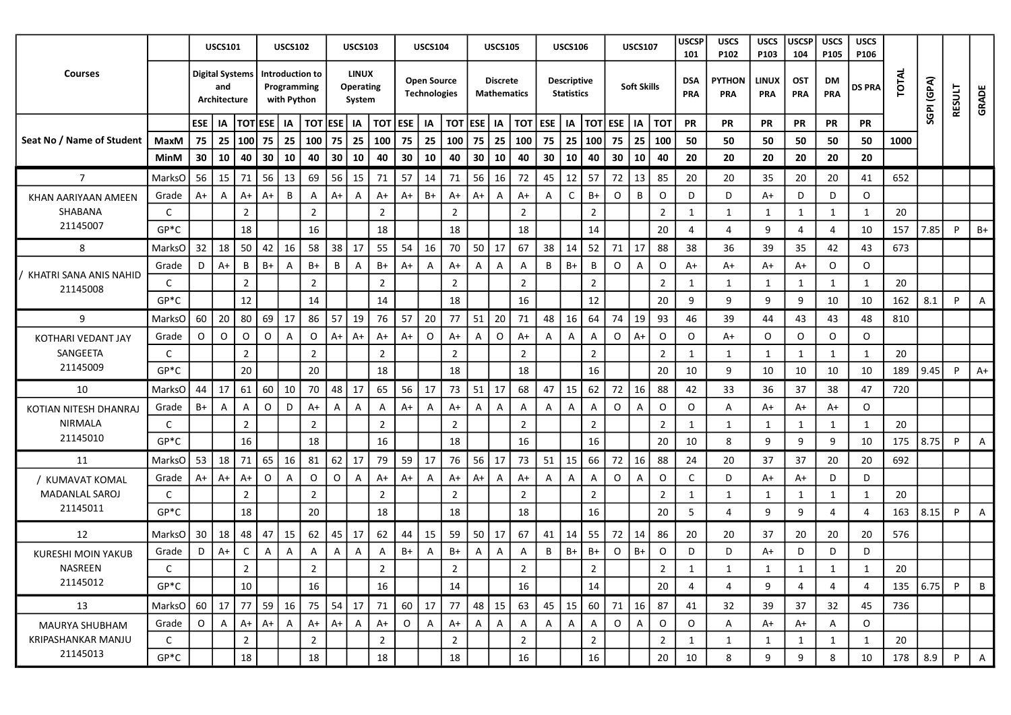|                                    |               |                        | <b>USCS101</b>      |                |             | <b>USCS102</b>                                |                | <b>USCS103</b>                             |                |              | <b>USCS104</b>                            |                |                    | <b>USCS105</b>  |                |              | <b>USCS106</b>                          |                          |             | <b>USCS107</b>     |                | <b>USCSP</b><br>101 | <b>USCS</b><br>P102  | <b>USCS</b><br>P103     | <b>USCSP</b><br>104      | <b>USCS</b><br>P105 | <b>USCS</b><br>P106 |       |            |               |              |
|------------------------------------|---------------|------------------------|---------------------|----------------|-------------|-----------------------------------------------|----------------|--------------------------------------------|----------------|--------------|-------------------------------------------|----------------|--------------------|-----------------|----------------|--------------|-----------------------------------------|--------------------------|-------------|--------------------|----------------|---------------------|----------------------|-------------------------|--------------------------|---------------------|---------------------|-------|------------|---------------|--------------|
| <b>Courses</b>                     |               | <b>Digital Systems</b> | and<br>Architecture |                |             | Introduction to<br>Programming<br>with Python |                | <b>LINUX</b><br><b>Operating</b><br>System |                |              | <b>Open Source</b><br><b>Technologies</b> |                | <b>Mathematics</b> | <b>Discrete</b> |                |              | <b>Descriptive</b><br><b>Statistics</b> |                          |             | <b>Soft Skills</b> |                | <b>DSA</b><br>PRA   | <b>PYTHON</b><br>PRA | <b>LINUX</b><br>PRA     | <b>OST</b><br><b>PRA</b> | DM<br>PRA           | <b>DS PRA</b>       | TOTAL | SGPI (GPA) | <b>RESULT</b> | GRADE        |
|                                    |               | ESE   IA               |                     | <b>TOTESE</b>  |             | IA                                            | <b>TOT ESE</b> | IA                                         |                | TOT ESE   IA |                                           | TOT            | <b>ESE</b>         | IA              | тот            | <b>ESE</b>   | IA                                      | <b>TOT ESE</b>           |             | IA                 | <b>TOT</b>     | <b>PR</b>           | PR                   | <b>PR</b>               | PR                       | <b>PR</b>           | <b>PR</b>           |       |            |               |              |
| Seat No / Name of Student          | MaxM          | 75   25                |                     | 100            | 75          | 25                                            | 100            | 75<br>25                                   | 100            | 75           | 25                                        | 100            | 75                 | 25              | 100            | 75           | 25                                      | 100                      | 75          | 25                 | 100            | 50                  | 50                   | 50                      | 50                       | 50                  | 50                  | 1000  |            |               |              |
|                                    | MinM          | 30                     | 10                  | 40             | 30          | 10                                            | 40             | 30<br>10                                   | 40             | 30           | 10                                        | 40             | 30                 | 10              | 40             | 30           | 10                                      | 40                       | 30          | 10                 | 40             | 20                  | 20                   | 20                      | 20                       | 20                  | 20                  |       |            |               |              |
| $\overline{7}$                     | MarksO        | 56                     | 15                  | 71             | 56          | 13                                            | 69             | 56<br>15                                   | 71             | -57          | 14                                        | 71             | 56                 | 16              | 72             | 45           | 12                                      | 57                       | 72          | 13                 | 85             | 20                  | 20                   | 35                      | 20                       | 20                  | 41                  | 652   |            |               |              |
| KHAN AARIYAAN AMEEN                | Grade         | A+                     | A                   | $A+$           | $A+$        | B                                             | A              | $A+$<br>$\mathsf{A}$                       | A+             | $A+$         | B+                                        | $A+$           | A+                 | A               | A+             | A            | C                                       | $B+$                     | $\circ$     | B                  | $\mathsf{O}$   | D                   | D                    | A+                      | D                        | D                   | $\circ$             |       |            |               |              |
| SHABANA                            | C             |                        |                     | $\overline{2}$ |             |                                               | $\overline{2}$ |                                            | $\overline{2}$ |              |                                           | $\overline{2}$ |                    |                 | $\overline{2}$ |              |                                         | $\overline{2}$           |             |                    | $\overline{2}$ | 1                   | -1                   | 1                       | 1                        | 1                   | $\mathbf{1}$        | 20    |            |               |              |
| 21145007                           | $GP*C$        |                        |                     | 18             |             |                                               | 16             |                                            | 18             |              |                                           | 18             |                    |                 | 18             |              |                                         | 14                       |             |                    | 20             | 4                   | 4                    | 9                       | 4                        | 4                   | 10                  | 157   | 7.85       | P             | B+           |
| 8                                  | <b>MarksO</b> | 32                     | 18                  | 50             | 42          | 16                                            | 58             | 38<br>17                                   | 55             | 54           | 16                                        | 70             | 50                 | 17              | 67             | 38           | $\vert$ 14                              | 52                       | 71          | <b>17</b>          | 88             | 38                  | 36                   | 39                      | 35                       | 42                  | 43                  | 673   |            |               |              |
|                                    | Grade         | D                      | $A+$                | B              | $B+$        | A                                             | B+             | B<br>$\mathsf{A}$                          | B+             | $A+$         | A                                         | A+             | A                  | A               | A              | B            | $B+$                                    | B                        | 0           | A                  | $\circ$        | A+                  | A+                   | A+                      | A+                       | O                   | $\circ$             |       |            |               |              |
| KHATRI SANA ANIS NAHID<br>21145008 | C             |                        |                     | $\overline{2}$ |             |                                               | $\overline{2}$ |                                            | $\overline{2}$ |              |                                           | $\overline{2}$ |                    |                 | $\overline{2}$ |              |                                         | $\overline{2}$           |             |                    | $\overline{2}$ | 1                   | 1                    | 1                       | 1                        | 1                   | 1                   | 20    |            |               |              |
|                                    | $GP*C$        |                        |                     | 12             |             |                                               | 14             |                                            | 14             |              |                                           | 18             |                    |                 | 16             |              |                                         | 12                       |             |                    | 20             | 9                   | 9                    | 9                       | 9                        | 10                  | 10                  | 162   | 8.1        | P             | A            |
| 9                                  | MarksO        | 60                     | 20                  | 80             | 69          | 17                                            | 86             | 57<br>19                                   | 76             | 57           | 20                                        | 77             | 51                 | 20              | 71             | 48           | 16                                      | 64                       | 74          | 19                 | 93             | 46                  | 39                   | 44                      | 43                       | 43                  | 48                  | 810   |            |               |              |
| KOTHARI VEDANT JAY                 | Grade         | 0                      | $\circ$             | O              | O           | A                                             | O              | $A+$<br>A+                                 | $A+$           | $A+$         | $\circ$                                   | $A+$           | A                  | $\circ$         | A+             | Α            | Α                                       | $\overline{A}$           | $\circ$     | $A+$               | $\mathsf{O}$   | O                   | A+                   | $\circ$                 | O                        | O                   | O                   |       |            |               |              |
| SANGEETA                           | C             |                        |                     | $\overline{2}$ |             |                                               | $\overline{2}$ |                                            | $\overline{2}$ |              |                                           | $\overline{2}$ |                    |                 | $\overline{2}$ |              |                                         | $\overline{2}$           |             |                    | $\overline{2}$ | 1                   | 1                    | 1                       | 1                        | 1                   | 1                   | 20    |            |               |              |
| 21145009                           | $GP*C$        |                        |                     | 20             |             |                                               | 20             |                                            | 18             |              |                                           | 18             |                    |                 | 18             |              |                                         | 16                       |             |                    | 20             | 10                  | 9                    | 10                      | 10                       | 10                  | 10                  | 189   | 9.45       | P             | $A+$         |
| 10                                 | <b>MarksO</b> | 44                     | 17                  | 61             | 60          | 10                                            | 70             | 48<br>17                                   | 65             | 56           | 17                                        | 73             | 51                 | 17              | 68             | 47           | 15                                      | 62                       | 72          | 16                 | 88             | 42                  | 33                   | 36                      | 37                       | 38                  | 47                  | 720   |            |               |              |
| KOTIAN NITESH DHANRAJ              | Grade         | B+                     | A                   | A              | O           | D                                             | A+             | Α<br>$\mathsf{A}$                          | Α              | $A+$         | A                                         | $A+$           | A                  | A               | A              | $\mathsf{A}$ | A                                       | A                        | O           | A                  | $\circ$        | $\circ$             | A                    | A+                      | $A+$                     | A+                  | $\circ$             |       |            |               |              |
| <b>NIRMALA</b>                     | C             |                        |                     | $\overline{2}$ |             |                                               | $\overline{2}$ |                                            | $\overline{2}$ |              |                                           | $\overline{2}$ |                    |                 | $\overline{2}$ |              |                                         | $\overline{2}$           |             |                    | $\overline{2}$ | 1                   | -1                   | 1                       | 1                        | 1                   | 1                   | 20    |            |               |              |
| 21145010                           | $GP*C$        |                        |                     | 16             |             |                                               | 18             |                                            | 16             |              |                                           | 18             |                    |                 | 16             |              |                                         | 16                       |             |                    | 20             | 10                  | 8                    | 9                       | 9                        | 9                   | 10                  | 175   | 8.75       | P             | A            |
| 11                                 | MarksO        | 53                     | 18                  | 71             | 65          | 16                                            | 81             | 62<br>17                                   | 79             | 59           | 17                                        | 76             | 56                 | 17              | 73             | 51           | 15                                      | 66                       | 72          | 16                 | 88             | 24                  | 20                   | 37                      | 37                       | 20                  | 20                  | 692   |            |               |              |
| / KUMAVAT KOMAL                    | Grade         | A+                     | A+                  | $A+$           | $\mathsf O$ | $\overline{A}$                                | 0              | $\mathsf O$<br>$\mathsf{A}$                | $A+$           | $A+$         | A                                         | $A+$           | $A+$               | $\mathsf{A}$    | $A+$           | Α            | A                                       | A                        | O           | $\overline{A}$     | $\circ$        | C                   | D                    | A+                      | A+                       | D                   | D                   |       |            |               |              |
| <b>MADANLAL SAROJ</b>              | C             |                        |                     | 2              |             |                                               | $\overline{2}$ |                                            | $\overline{2}$ |              |                                           | $\overline{2}$ |                    |                 | $\overline{2}$ |              |                                         | $\overline{2}$           |             |                    | $\overline{2}$ | 1                   | -1                   | 1                       | 1                        | 1                   | $\mathbf{1}$        | 20    |            |               |              |
| 21145011                           | $GP*C$        |                        |                     | 18             |             |                                               | 20             |                                            | 18             |              |                                           | 18             |                    |                 | 18             |              |                                         | 16                       |             |                    | 20             | 5                   | $\Delta$             | 9                       | 9                        | 4                   |                     | 163   | 8.15       | P             | Α            |
| 12                                 | MarksO        | 30                     | 18                  | 48             | 47          | 15                                            | 62             | 45<br>17                                   | 62             | 44           | 15                                        | 59             | 50                 | 17              | 67             | 41           | 14                                      | 55                       | 72          | 14                 | 86             | 20                  | 20                   | 37                      | 20                       | 20                  | 20                  | 576   |            |               |              |
| KURESHI MOIN YAKUB                 | Grade         | D                      | $A+$                | C              | A           | A                                             | Α              | A<br>Α                                     | A              | B+           | A                                         | B+             | Α                  | A               | Α              | В            | B+                                      | B+                       | O           | $B+$               | $\mathsf{O}$   | D                   | D                    | A+                      | D                        | D                   | D                   |       |            |               |              |
| NASREEN                            |               |                        |                     | $\mathbf{r}$   |             |                                               | $\mathcal{D}$  |                                            | $\mathcal{L}$  |              |                                           | $\mathcal{L}$  |                    |                 | $\mathcal{L}$  |              |                                         | $\overline{\phantom{a}}$ |             |                    | $\overline{2}$ | $\mathbf{1}$        |                      | $\overline{\mathbf{1}}$ | $\overline{\mathbf{1}}$  |                     |                     | 20    |            |               |              |
| 21145012                           | $GP*C$        |                        |                     | 10             |             |                                               | 16             |                                            | 16             |              |                                           | 14             |                    |                 | 16             |              |                                         | 14                       |             |                    | 20             | 4                   | 4                    | 9                       | 4                        | 4                   | 4                   | 135   | 6.75       | P             | B            |
| 13                                 | MarksO        | $60$ 17                |                     | 77             | 59          | 16                                            | 75             | 54<br>17                                   | 71             | 60           | 17                                        | 77             | 48                 | 15              | 63             | 45           | $\vert$ 15                              | 60                       | 71          | 16                 | 87             | 41                  | 32                   | 39                      | 37                       | 32                  | 45                  | 736   |            |               |              |
| MAURYA SHUBHAM                     | Grade         | $\circ$                | A                   | $A+$           | A+          | $\mathsf{A}$                                  | $A+$           | $A+$<br>$\overline{A}$                     | $A+$           | $\circ$      | $\overline{A}$                            | $A+$           | $\mathsf{A}$       | $\mathsf{A}$    | A              | $\mathsf{A}$ | $\overline{A}$                          | $\overline{A}$           | $\mathsf O$ | $\overline{A}$     | $\circ$        | $\mathsf O$         | A                    | A+                      | A+                       | A                   | $\circ$             |       |            |               |              |
| KRIPASHANKAR MANJU                 | C             |                        |                     | $\overline{2}$ |             |                                               | $\overline{2}$ |                                            | $\overline{2}$ |              |                                           | $\overline{2}$ |                    |                 | $\overline{2}$ |              |                                         | $\overline{2}$           |             |                    | $\overline{2}$ | 1                   | 1                    | 1                       | $\mathbf{1}$             | 1                   | 1                   | 20    |            |               |              |
| 21145013                           | $GP*C$        |                        |                     | 18             |             |                                               | 18             |                                            | 18             |              |                                           | 18             |                    |                 | 16             |              |                                         | 16                       |             |                    | 20             | 10                  | 8                    | 9                       | 9                        | 8                   | 10                  | 178   | 8.9        | P             | $\mathsf{A}$ |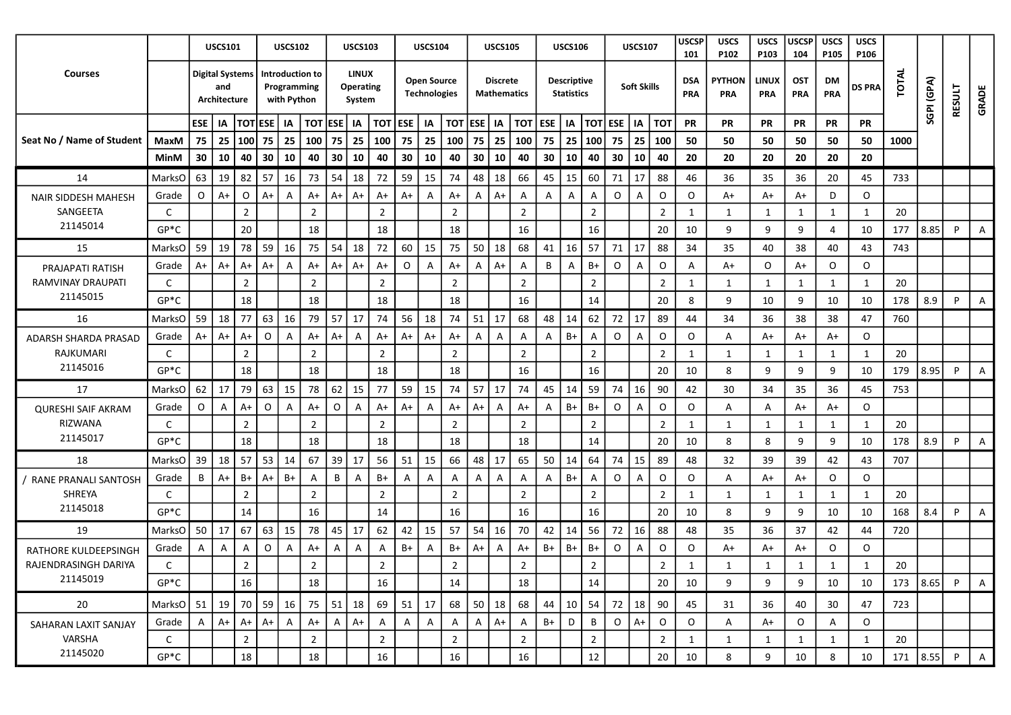| TOTAL<br><b>LINUX</b><br><b>Courses</b><br><b>Digital Systems</b><br>Introduction to<br>SGPI (GPA)<br><b>Open Source</b><br><b>Descriptive</b><br><b>PYTHON</b><br><b>LINUX</b><br><b>Discrete</b><br><b>DSA</b><br><b>OST</b><br>DM<br><b>Soft Skills</b><br>and<br>Programming<br><b>Operating</b><br><b>DS PRA</b><br>RESULT<br><b>GRADE</b><br><b>Technologies</b><br><b>Statistics</b><br><b>Mathematics</b><br>PRA<br>PRA<br><b>PRA</b><br>PRA<br>PRA<br>with Python<br>Architecture<br>System<br><b>TOTESE</b><br>$\overline{101}$ ESE   IA<br>$\overline{101}$<br><b>ESE</b><br>ESE   IA<br><b>TOT ESE</b><br>IA<br><b>ESE</b><br><b>TOT ESE</b><br><b>PR</b><br>IA<br>IA<br>  тот<br>  IA<br>  IA<br><b>TOT</b><br><b>PR</b><br>PR<br><b>PR</b><br><b>PR</b><br>PR<br>Seat No / Name of Student<br>25<br>75<br>75   25<br> 100 <br>75<br>25<br>75<br>25<br>100<br>75<br>25<br>100<br>75<br>25<br> 100 <br>75<br>25<br>50<br>50<br>50<br>50<br>1000<br>MaxM<br>100<br>100<br>50<br>50<br>100<br>30<br>30<br>10<br>40<br>  30<br>10<br>30<br>10<br>30<br>40<br>10<br>40<br>30<br>10<br>40<br>30<br>10<br>20<br>20<br>20<br>20<br>40<br>40<br>10<br>40<br>20<br>20<br>MinM<br>57<br>54<br>48<br>MarksO<br>63 l<br>  19<br>82<br>16<br>73<br>18<br>72<br>59<br>74<br>18<br>66<br>45<br>  15<br>60<br>71<br>17<br>88<br>46<br>36<br>35<br>36<br>20<br>733<br>14<br>15<br>45<br>$\circ$<br>O<br>$A+$<br>O<br>$A+$<br>$A+$<br>$A+$<br>$A+$<br>$A+$<br>$\circ$<br>O<br>$A+$<br>D<br>$\circ$<br>Grade<br>$\overline{A}$<br>$A+$<br>A+<br>A+<br>$\overline{A}$<br>$\mathsf{A}$<br>Α<br>A<br>$\overline{A}$<br>A+<br>A+<br>A<br>A<br>NAIR SIDDESH MAHESH<br>$\overline{2}$<br>$\overline{2}$<br>$\overline{2}$<br>$\overline{2}$<br>$\overline{2}$<br>$\overline{2}$<br>SANGEETA<br>C<br>1<br>20<br>2<br>1<br>1<br>$\mathbf 1$<br>1<br>$\mathbf{1}$<br>21145014<br>20<br>$GP*C$<br>18<br>18<br>18<br>16<br>16<br>20<br>10<br>9<br>9<br>10<br>177<br>8.85<br>9<br>P<br>Α<br>4<br>59<br>59 19<br>78<br>16<br>75<br>54<br>18<br>72<br>60<br>15<br>75<br>50<br>18<br>68<br>  16<br>57<br>71<br><b>17</b><br>88<br>15<br>41<br>34<br>35<br>40<br>38<br>40<br>43<br>743<br>MarksO<br>$A+$<br>O<br>$A+$<br>B<br>$B+$<br>0<br>$\circ$<br>$\circ$<br>$\circ$<br>$A+$<br>$A+$<br>$A+$<br>$A+$<br>$\mathsf{A}$<br>A+<br>$A+$<br>A+<br>A<br>A<br>A+<br>A<br>O<br>Grade<br>A<br>Α<br>A+<br>A+<br>A<br>PRAJAPATI RATISH<br>RAMVINAY DRAUPATI<br>$\overline{2}$<br>$\overline{2}$<br>$\overline{2}$<br>$\overline{2}$<br>$\overline{2}$<br>$\overline{2}$<br>20<br>C<br>$\overline{2}$<br>1<br>1<br>1<br>1<br>1<br>1<br>21145015<br>$GP*C$<br>18<br>18<br>18<br>18<br>16<br>14<br>20<br>8.9<br>8<br>9<br>10<br>9<br>10<br>10<br>178<br>P<br>A<br>63<br>57<br>51<br>68<br>62<br>59<br>18<br>77<br>16<br>79<br>17<br>74<br>56<br>18<br>74<br>48<br>14<br>72<br>17<br>89<br>34<br>36<br>38<br>38<br>760<br>16<br>17<br>44<br>47<br>MarksO<br>$\mathsf{O}$<br>O<br>$A+$<br>$A+$<br>$A+$<br>$A+$<br>$B+$<br>$\circ$<br>O<br>O<br>$A+$<br>$A+$<br>$A+$<br>$\overline{A}$<br>$\mathsf{A}$<br>A+<br>A+<br>A<br>$\mathsf{A}$<br>A<br>A<br>A<br>A+<br>A+<br>Grade<br>A<br>A+<br>A<br>ADARSH SHARDA PRASAD<br>RAJKUMARI<br>$\overline{2}$<br>$\overline{2}$<br>$\overline{2}$<br>$\overline{2}$<br>$\overline{2}$<br>20<br>C<br>$\overline{2}$<br>$\overline{2}$<br>1<br>1<br>1<br>1<br>1<br>1<br>21145016<br>$GP*C$<br>18<br>18<br>18<br>18<br>16<br>16<br>20<br>10<br>8<br>9<br>9<br>9<br>10<br>179<br>8.95<br>P<br>A<br>79<br>15<br>62<br>15<br>15<br>57<br>45<br>59<br>16<br>62<br>17<br>63<br>78<br>77<br>59<br>74<br>17<br>74<br>14<br>74<br>90<br>42<br>35<br>30<br>34<br>36<br>45<br>753<br>17<br><b>MarksO</b><br>0<br>$\mathsf{O}$<br>$\circ$<br>O<br>O<br>A<br>$A+$<br>$A+$<br>B+<br>$B+$<br>$\circ$<br>$\circ$<br>A<br>$A+$<br>A+<br>$\mathsf{A}$<br>$A+$<br>A<br>A+<br>A+<br>$\mathsf{A}$<br>A<br>$\mathsf{A}$<br>$A+$<br>Grade<br>A<br>A<br>A+<br><b>QURESHI SAIF AKRAM</b><br>RIZWANA<br>$\overline{2}$<br>$\overline{2}$<br>$\overline{2}$<br>$\overline{2}$<br>$\overline{2}$<br>$\overline{2}$<br>$\overline{2}$<br>20<br>C<br>$\mathbf{1}$<br>1<br>1<br>1<br>1<br>1<br>21145017<br>$GP*C$<br>18<br>18<br>18<br>18<br>18<br>14<br>10<br>8<br>20<br>9<br>9<br>10<br>178<br>8.9<br>P<br>8<br>A<br>18<br>57<br>53<br>39<br>17<br>48<br>65<br>50<br>14<br>15<br>39 l<br>14<br>67<br>56<br>51<br>15<br>66<br>17<br>64<br>74<br>89<br>48<br>32<br>39<br>39<br>707<br>18<br>MarksO<br>42<br>43<br>B<br>$B+$<br>$\mathsf O$<br>$\circ$<br>$\circ$<br>$\circ$<br>$B+$<br>$A+$<br>$B+$<br>B+<br>$\overline{A}$<br>A<br>A<br>$\overline{A}$<br>$A+$<br>O<br>B<br>A+<br>A<br>Α<br>$\mathsf{A}$<br>A<br>$\mathsf{A}$<br>$\overline{A}$<br>A+<br>Grade<br>Α<br>A<br>/ RANE PRANALI SANTOSH<br>SHREYA<br>$\overline{2}$<br>$\overline{2}$<br>$\overline{2}$<br>$\overline{2}$<br>$\overline{2}$<br>$\overline{2}$<br>20<br>C<br>2<br>1<br>1<br>1<br>$\mathbf{1}$<br>-1<br>21145018<br>14<br>$14\,$<br>16<br>$GP*C$<br>16<br>16<br>16<br>20<br>9<br>10<br>9<br>10<br>168<br>8.4<br>8<br>10<br>P<br>A<br>56<br>67<br>63<br>45<br>17<br>62<br>57<br>54<br>72<br>16<br>35<br>37<br>720<br>19<br>MarksO<br>50 l<br>  17<br>15<br>78<br>42<br>15<br>16<br>70<br>42<br>14<br>88<br>48<br>36<br>42<br>44<br>$\circ$<br>0<br>$B+$<br>$B+$<br>$B+$<br>$B+$<br>$B+$<br>$\circ$<br>$\circ$<br>O<br>$A+$<br>$\overline{A}$<br>$\overline{A}$<br>$A+$<br>A<br>$\mathsf{A}$<br>$\overline{A}$<br>A+<br>A<br>A+<br>A<br>A+<br>A+<br>O<br>Grade<br>A<br>A<br>Α<br>RATHORE KULDEEPSINGH<br>RAJENDRASINGH DARIYA<br>$\overline{2}$<br>$\overline{2}$<br>$\overline{2}$<br>$\overline{2}$<br>$\overline{2}$<br>$\overline{2}$<br>20<br>C<br>$\overline{2}$<br>1<br>1<br>1<br>-1<br>21145019<br>$GP*C$<br>16<br>18<br>16<br>18<br>14<br>173   8.65<br>14<br>20<br>10<br>9<br>9<br>9<br>10<br>10<br>P<br>A<br>$51 \mid 19$<br>70 59<br>75 51<br>51<br>68<br>50<br>68<br>20<br>16<br>  18<br>69  <br>$\vert$ 17<br>18<br>44<br>$\vert$ 10<br>54<br>72<br>  18<br>90<br>30<br>723<br>MarksO1<br>45<br>31<br>36<br>40<br>47<br>$\overline{B}$<br>$\circ$<br>$A+$<br>$A+$<br>$\overline{A}$<br>A<br>A<br>A<br>$\mathsf{A}$<br>$A+$<br>$B+$<br>D<br>$A+$<br>$\mathsf{O}$<br>$\circ$<br>$A+$<br>$A+$<br>$A+$<br>$\mathsf{A}$<br>A<br>$A+$<br>O<br>$\circ$<br>Grade<br>A I<br>A<br>A<br>A<br>SAHARAN LAXIT SANJAY<br>VARSHA<br>$\overline{2}$<br>$\overline{2}$<br>$\overline{2}$<br>$\overline{2}$<br>$\overline{2}$<br>$\overline{2}$<br>$\overline{2}$<br>20<br>C<br>1<br>1<br>1<br>1<br>1<br>1<br>21145020<br>16<br>18<br>$12\,$<br>$GP*C$<br>16<br>16<br>8.55<br>18<br>$20\,$<br>10<br>9<br>10<br>171<br>P<br>8<br>10<br>8<br>$\overline{A}$ |  | <b>USCS101</b> |  | <b>USCS102</b> | <b>USCS103</b> |  | <b>USCS104</b> |  | <b>USCS105</b> |  | <b>USCS106</b> |  | <b>USCS107</b> | <b>USCSP</b><br>101 | <b>USCS</b><br>P <sub>102</sub> | <b>USCS</b><br>P103 | <b>USCSP</b><br>104 | <b>USCS</b><br>P105 | <b>USCS</b><br>P <sub>106</sub> |  |  |
|---------------------------------------------------------------------------------------------------------------------------------------------------------------------------------------------------------------------------------------------------------------------------------------------------------------------------------------------------------------------------------------------------------------------------------------------------------------------------------------------------------------------------------------------------------------------------------------------------------------------------------------------------------------------------------------------------------------------------------------------------------------------------------------------------------------------------------------------------------------------------------------------------------------------------------------------------------------------------------------------------------------------------------------------------------------------------------------------------------------------------------------------------------------------------------------------------------------------------------------------------------------------------------------------------------------------------------------------------------------------------------------------------------------------------------------------------------------------------------------------------------------------------------------------------------------------------------------------------------------------------------------------------------------------------------------------------------------------------------------------------------------------------------------------------------------------------------------------------------------------------------------------------------------------------------------------------------------------------------------------------------------------------------------------------------------------------------------------------------------------------------------------------------------------------------------------------------------------------------------------------------------------------------------------------------------------------------------------------------------------------------------------------------------------------------------------------------------------------------------------------------------------------------------------------------------------------------------------------------------------------------------------------------------------------------------------------------------------------------------------------------------------------------------------------------------------------------------------------------------------------------------------------------------------------------------------------------------------------------------------------------------------------------------------------------------------------------------------------------------------------------------------------------------------------------------------------------------------------------------------------------------------------------------------------------------------------------------------------------------------------------------------------------------------------------------------------------------------------------------------------------------------------------------------------------------------------------------------------------------------------------------------------------------------------------------------------------------------------------------------------------------------------------------------------------------------------------------------------------------------------------------------------------------------------------------------------------------------------------------------------------------------------------------------------------------------------------------------------------------------------------------------------------------------------------------------------------------------------------------------------------------------------------------------------------------------------------------------------------------------------------------------------------------------------------------------------------------------------------------------------------------------------------------------------------------------------------------------------------------------------------------------------------------------------------------------------------------------------------------------------------------------------------------------------------------------------------------------------------------------------------------------------------------------------------------------------------------------------------------------------------------------------------------------------------------------------------------------------------------------------------------------------------------------------------------------------------------------------------------------------------------------------------------------------------------------------------------------------------------------------------------------------------------------------------------------------------------------------------------------------------------------------------------------------------------------------------------------------------------------------------------------------------------------------------------------------------------------------------------------------------------------------------------------------------------------------------------------------------------------------------------------------------------------------------------------------------------------------------------------------------------------------------------------------------------------------------------------------------------------------------------------------------------------------------------------------------------------------------------------------------------------------------------------------------------------------------------------------------------------------------------------------------------------------------------------------------------------------------------------------------------------------------------------------------------------------------------------------------------------------------------------------------------------------------------------|--|----------------|--|----------------|----------------|--|----------------|--|----------------|--|----------------|--|----------------|---------------------|---------------------------------|---------------------|---------------------|---------------------|---------------------------------|--|--|
|                                                                                                                                                                                                                                                                                                                                                                                                                                                                                                                                                                                                                                                                                                                                                                                                                                                                                                                                                                                                                                                                                                                                                                                                                                                                                                                                                                                                                                                                                                                                                                                                                                                                                                                                                                                                                                                                                                                                                                                                                                                                                                                                                                                                                                                                                                                                                                                                                                                                                                                                                                                                                                                                                                                                                                                                                                                                                                                                                                                                                                                                                                                                                                                                                                                                                                                                                                                                                                                                                                                                                                                                                                                                                                                                                                                                                                                                                                                                                                                                                                                                                                                                                                                                                                                                                                                                                                                                                                                                                                                                                                                                                                                                                                                                                                                                                                                                                                                                                                                                                                                                                                                                                                                                                                                                                                                                                                                                                                                                                                                                                                                                                                                                                                                                                                                                                                                                                                                                                                                                                                                                                                                                                                                                                                                                                                                                                                                                                                                                                                                                                                                                                                                                                             |  |                |  |                |                |  |                |  |                |  |                |  |                |                     |                                 |                     |                     |                     |                                 |  |  |
|                                                                                                                                                                                                                                                                                                                                                                                                                                                                                                                                                                                                                                                                                                                                                                                                                                                                                                                                                                                                                                                                                                                                                                                                                                                                                                                                                                                                                                                                                                                                                                                                                                                                                                                                                                                                                                                                                                                                                                                                                                                                                                                                                                                                                                                                                                                                                                                                                                                                                                                                                                                                                                                                                                                                                                                                                                                                                                                                                                                                                                                                                                                                                                                                                                                                                                                                                                                                                                                                                                                                                                                                                                                                                                                                                                                                                                                                                                                                                                                                                                                                                                                                                                                                                                                                                                                                                                                                                                                                                                                                                                                                                                                                                                                                                                                                                                                                                                                                                                                                                                                                                                                                                                                                                                                                                                                                                                                                                                                                                                                                                                                                                                                                                                                                                                                                                                                                                                                                                                                                                                                                                                                                                                                                                                                                                                                                                                                                                                                                                                                                                                                                                                                                                             |  |                |  |                |                |  |                |  |                |  |                |  |                |                     |                                 |                     |                     |                     |                                 |  |  |
|                                                                                                                                                                                                                                                                                                                                                                                                                                                                                                                                                                                                                                                                                                                                                                                                                                                                                                                                                                                                                                                                                                                                                                                                                                                                                                                                                                                                                                                                                                                                                                                                                                                                                                                                                                                                                                                                                                                                                                                                                                                                                                                                                                                                                                                                                                                                                                                                                                                                                                                                                                                                                                                                                                                                                                                                                                                                                                                                                                                                                                                                                                                                                                                                                                                                                                                                                                                                                                                                                                                                                                                                                                                                                                                                                                                                                                                                                                                                                                                                                                                                                                                                                                                                                                                                                                                                                                                                                                                                                                                                                                                                                                                                                                                                                                                                                                                                                                                                                                                                                                                                                                                                                                                                                                                                                                                                                                                                                                                                                                                                                                                                                                                                                                                                                                                                                                                                                                                                                                                                                                                                                                                                                                                                                                                                                                                                                                                                                                                                                                                                                                                                                                                                                             |  |                |  |                |                |  |                |  |                |  |                |  |                |                     |                                 |                     |                     |                     |                                 |  |  |
|                                                                                                                                                                                                                                                                                                                                                                                                                                                                                                                                                                                                                                                                                                                                                                                                                                                                                                                                                                                                                                                                                                                                                                                                                                                                                                                                                                                                                                                                                                                                                                                                                                                                                                                                                                                                                                                                                                                                                                                                                                                                                                                                                                                                                                                                                                                                                                                                                                                                                                                                                                                                                                                                                                                                                                                                                                                                                                                                                                                                                                                                                                                                                                                                                                                                                                                                                                                                                                                                                                                                                                                                                                                                                                                                                                                                                                                                                                                                                                                                                                                                                                                                                                                                                                                                                                                                                                                                                                                                                                                                                                                                                                                                                                                                                                                                                                                                                                                                                                                                                                                                                                                                                                                                                                                                                                                                                                                                                                                                                                                                                                                                                                                                                                                                                                                                                                                                                                                                                                                                                                                                                                                                                                                                                                                                                                                                                                                                                                                                                                                                                                                                                                                                                             |  |                |  |                |                |  |                |  |                |  |                |  |                |                     |                                 |                     |                     |                     |                                 |  |  |
|                                                                                                                                                                                                                                                                                                                                                                                                                                                                                                                                                                                                                                                                                                                                                                                                                                                                                                                                                                                                                                                                                                                                                                                                                                                                                                                                                                                                                                                                                                                                                                                                                                                                                                                                                                                                                                                                                                                                                                                                                                                                                                                                                                                                                                                                                                                                                                                                                                                                                                                                                                                                                                                                                                                                                                                                                                                                                                                                                                                                                                                                                                                                                                                                                                                                                                                                                                                                                                                                                                                                                                                                                                                                                                                                                                                                                                                                                                                                                                                                                                                                                                                                                                                                                                                                                                                                                                                                                                                                                                                                                                                                                                                                                                                                                                                                                                                                                                                                                                                                                                                                                                                                                                                                                                                                                                                                                                                                                                                                                                                                                                                                                                                                                                                                                                                                                                                                                                                                                                                                                                                                                                                                                                                                                                                                                                                                                                                                                                                                                                                                                                                                                                                                                             |  |                |  |                |                |  |                |  |                |  |                |  |                |                     |                                 |                     |                     |                     |                                 |  |  |
|                                                                                                                                                                                                                                                                                                                                                                                                                                                                                                                                                                                                                                                                                                                                                                                                                                                                                                                                                                                                                                                                                                                                                                                                                                                                                                                                                                                                                                                                                                                                                                                                                                                                                                                                                                                                                                                                                                                                                                                                                                                                                                                                                                                                                                                                                                                                                                                                                                                                                                                                                                                                                                                                                                                                                                                                                                                                                                                                                                                                                                                                                                                                                                                                                                                                                                                                                                                                                                                                                                                                                                                                                                                                                                                                                                                                                                                                                                                                                                                                                                                                                                                                                                                                                                                                                                                                                                                                                                                                                                                                                                                                                                                                                                                                                                                                                                                                                                                                                                                                                                                                                                                                                                                                                                                                                                                                                                                                                                                                                                                                                                                                                                                                                                                                                                                                                                                                                                                                                                                                                                                                                                                                                                                                                                                                                                                                                                                                                                                                                                                                                                                                                                                                                             |  |                |  |                |                |  |                |  |                |  |                |  |                |                     |                                 |                     |                     |                     |                                 |  |  |
|                                                                                                                                                                                                                                                                                                                                                                                                                                                                                                                                                                                                                                                                                                                                                                                                                                                                                                                                                                                                                                                                                                                                                                                                                                                                                                                                                                                                                                                                                                                                                                                                                                                                                                                                                                                                                                                                                                                                                                                                                                                                                                                                                                                                                                                                                                                                                                                                                                                                                                                                                                                                                                                                                                                                                                                                                                                                                                                                                                                                                                                                                                                                                                                                                                                                                                                                                                                                                                                                                                                                                                                                                                                                                                                                                                                                                                                                                                                                                                                                                                                                                                                                                                                                                                                                                                                                                                                                                                                                                                                                                                                                                                                                                                                                                                                                                                                                                                                                                                                                                                                                                                                                                                                                                                                                                                                                                                                                                                                                                                                                                                                                                                                                                                                                                                                                                                                                                                                                                                                                                                                                                                                                                                                                                                                                                                                                                                                                                                                                                                                                                                                                                                                                                             |  |                |  |                |                |  |                |  |                |  |                |  |                |                     |                                 |                     |                     |                     |                                 |  |  |
|                                                                                                                                                                                                                                                                                                                                                                                                                                                                                                                                                                                                                                                                                                                                                                                                                                                                                                                                                                                                                                                                                                                                                                                                                                                                                                                                                                                                                                                                                                                                                                                                                                                                                                                                                                                                                                                                                                                                                                                                                                                                                                                                                                                                                                                                                                                                                                                                                                                                                                                                                                                                                                                                                                                                                                                                                                                                                                                                                                                                                                                                                                                                                                                                                                                                                                                                                                                                                                                                                                                                                                                                                                                                                                                                                                                                                                                                                                                                                                                                                                                                                                                                                                                                                                                                                                                                                                                                                                                                                                                                                                                                                                                                                                                                                                                                                                                                                                                                                                                                                                                                                                                                                                                                                                                                                                                                                                                                                                                                                                                                                                                                                                                                                                                                                                                                                                                                                                                                                                                                                                                                                                                                                                                                                                                                                                                                                                                                                                                                                                                                                                                                                                                                                             |  |                |  |                |                |  |                |  |                |  |                |  |                |                     |                                 |                     |                     |                     |                                 |  |  |
|                                                                                                                                                                                                                                                                                                                                                                                                                                                                                                                                                                                                                                                                                                                                                                                                                                                                                                                                                                                                                                                                                                                                                                                                                                                                                                                                                                                                                                                                                                                                                                                                                                                                                                                                                                                                                                                                                                                                                                                                                                                                                                                                                                                                                                                                                                                                                                                                                                                                                                                                                                                                                                                                                                                                                                                                                                                                                                                                                                                                                                                                                                                                                                                                                                                                                                                                                                                                                                                                                                                                                                                                                                                                                                                                                                                                                                                                                                                                                                                                                                                                                                                                                                                                                                                                                                                                                                                                                                                                                                                                                                                                                                                                                                                                                                                                                                                                                                                                                                                                                                                                                                                                                                                                                                                                                                                                                                                                                                                                                                                                                                                                                                                                                                                                                                                                                                                                                                                                                                                                                                                                                                                                                                                                                                                                                                                                                                                                                                                                                                                                                                                                                                                                                             |  |                |  |                |                |  |                |  |                |  |                |  |                |                     |                                 |                     |                     |                     |                                 |  |  |
|                                                                                                                                                                                                                                                                                                                                                                                                                                                                                                                                                                                                                                                                                                                                                                                                                                                                                                                                                                                                                                                                                                                                                                                                                                                                                                                                                                                                                                                                                                                                                                                                                                                                                                                                                                                                                                                                                                                                                                                                                                                                                                                                                                                                                                                                                                                                                                                                                                                                                                                                                                                                                                                                                                                                                                                                                                                                                                                                                                                                                                                                                                                                                                                                                                                                                                                                                                                                                                                                                                                                                                                                                                                                                                                                                                                                                                                                                                                                                                                                                                                                                                                                                                                                                                                                                                                                                                                                                                                                                                                                                                                                                                                                                                                                                                                                                                                                                                                                                                                                                                                                                                                                                                                                                                                                                                                                                                                                                                                                                                                                                                                                                                                                                                                                                                                                                                                                                                                                                                                                                                                                                                                                                                                                                                                                                                                                                                                                                                                                                                                                                                                                                                                                                             |  |                |  |                |                |  |                |  |                |  |                |  |                |                     |                                 |                     |                     |                     |                                 |  |  |
|                                                                                                                                                                                                                                                                                                                                                                                                                                                                                                                                                                                                                                                                                                                                                                                                                                                                                                                                                                                                                                                                                                                                                                                                                                                                                                                                                                                                                                                                                                                                                                                                                                                                                                                                                                                                                                                                                                                                                                                                                                                                                                                                                                                                                                                                                                                                                                                                                                                                                                                                                                                                                                                                                                                                                                                                                                                                                                                                                                                                                                                                                                                                                                                                                                                                                                                                                                                                                                                                                                                                                                                                                                                                                                                                                                                                                                                                                                                                                                                                                                                                                                                                                                                                                                                                                                                                                                                                                                                                                                                                                                                                                                                                                                                                                                                                                                                                                                                                                                                                                                                                                                                                                                                                                                                                                                                                                                                                                                                                                                                                                                                                                                                                                                                                                                                                                                                                                                                                                                                                                                                                                                                                                                                                                                                                                                                                                                                                                                                                                                                                                                                                                                                                                             |  |                |  |                |                |  |                |  |                |  |                |  |                |                     |                                 |                     |                     |                     |                                 |  |  |
|                                                                                                                                                                                                                                                                                                                                                                                                                                                                                                                                                                                                                                                                                                                                                                                                                                                                                                                                                                                                                                                                                                                                                                                                                                                                                                                                                                                                                                                                                                                                                                                                                                                                                                                                                                                                                                                                                                                                                                                                                                                                                                                                                                                                                                                                                                                                                                                                                                                                                                                                                                                                                                                                                                                                                                                                                                                                                                                                                                                                                                                                                                                                                                                                                                                                                                                                                                                                                                                                                                                                                                                                                                                                                                                                                                                                                                                                                                                                                                                                                                                                                                                                                                                                                                                                                                                                                                                                                                                                                                                                                                                                                                                                                                                                                                                                                                                                                                                                                                                                                                                                                                                                                                                                                                                                                                                                                                                                                                                                                                                                                                                                                                                                                                                                                                                                                                                                                                                                                                                                                                                                                                                                                                                                                                                                                                                                                                                                                                                                                                                                                                                                                                                                                             |  |                |  |                |                |  |                |  |                |  |                |  |                |                     |                                 |                     |                     |                     |                                 |  |  |
|                                                                                                                                                                                                                                                                                                                                                                                                                                                                                                                                                                                                                                                                                                                                                                                                                                                                                                                                                                                                                                                                                                                                                                                                                                                                                                                                                                                                                                                                                                                                                                                                                                                                                                                                                                                                                                                                                                                                                                                                                                                                                                                                                                                                                                                                                                                                                                                                                                                                                                                                                                                                                                                                                                                                                                                                                                                                                                                                                                                                                                                                                                                                                                                                                                                                                                                                                                                                                                                                                                                                                                                                                                                                                                                                                                                                                                                                                                                                                                                                                                                                                                                                                                                                                                                                                                                                                                                                                                                                                                                                                                                                                                                                                                                                                                                                                                                                                                                                                                                                                                                                                                                                                                                                                                                                                                                                                                                                                                                                                                                                                                                                                                                                                                                                                                                                                                                                                                                                                                                                                                                                                                                                                                                                                                                                                                                                                                                                                                                                                                                                                                                                                                                                                             |  |                |  |                |                |  |                |  |                |  |                |  |                |                     |                                 |                     |                     |                     |                                 |  |  |
|                                                                                                                                                                                                                                                                                                                                                                                                                                                                                                                                                                                                                                                                                                                                                                                                                                                                                                                                                                                                                                                                                                                                                                                                                                                                                                                                                                                                                                                                                                                                                                                                                                                                                                                                                                                                                                                                                                                                                                                                                                                                                                                                                                                                                                                                                                                                                                                                                                                                                                                                                                                                                                                                                                                                                                                                                                                                                                                                                                                                                                                                                                                                                                                                                                                                                                                                                                                                                                                                                                                                                                                                                                                                                                                                                                                                                                                                                                                                                                                                                                                                                                                                                                                                                                                                                                                                                                                                                                                                                                                                                                                                                                                                                                                                                                                                                                                                                                                                                                                                                                                                                                                                                                                                                                                                                                                                                                                                                                                                                                                                                                                                                                                                                                                                                                                                                                                                                                                                                                                                                                                                                                                                                                                                                                                                                                                                                                                                                                                                                                                                                                                                                                                                                             |  |                |  |                |                |  |                |  |                |  |                |  |                |                     |                                 |                     |                     |                     |                                 |  |  |
|                                                                                                                                                                                                                                                                                                                                                                                                                                                                                                                                                                                                                                                                                                                                                                                                                                                                                                                                                                                                                                                                                                                                                                                                                                                                                                                                                                                                                                                                                                                                                                                                                                                                                                                                                                                                                                                                                                                                                                                                                                                                                                                                                                                                                                                                                                                                                                                                                                                                                                                                                                                                                                                                                                                                                                                                                                                                                                                                                                                                                                                                                                                                                                                                                                                                                                                                                                                                                                                                                                                                                                                                                                                                                                                                                                                                                                                                                                                                                                                                                                                                                                                                                                                                                                                                                                                                                                                                                                                                                                                                                                                                                                                                                                                                                                                                                                                                                                                                                                                                                                                                                                                                                                                                                                                                                                                                                                                                                                                                                                                                                                                                                                                                                                                                                                                                                                                                                                                                                                                                                                                                                                                                                                                                                                                                                                                                                                                                                                                                                                                                                                                                                                                                                             |  |                |  |                |                |  |                |  |                |  |                |  |                |                     |                                 |                     |                     |                     |                                 |  |  |
|                                                                                                                                                                                                                                                                                                                                                                                                                                                                                                                                                                                                                                                                                                                                                                                                                                                                                                                                                                                                                                                                                                                                                                                                                                                                                                                                                                                                                                                                                                                                                                                                                                                                                                                                                                                                                                                                                                                                                                                                                                                                                                                                                                                                                                                                                                                                                                                                                                                                                                                                                                                                                                                                                                                                                                                                                                                                                                                                                                                                                                                                                                                                                                                                                                                                                                                                                                                                                                                                                                                                                                                                                                                                                                                                                                                                                                                                                                                                                                                                                                                                                                                                                                                                                                                                                                                                                                                                                                                                                                                                                                                                                                                                                                                                                                                                                                                                                                                                                                                                                                                                                                                                                                                                                                                                                                                                                                                                                                                                                                                                                                                                                                                                                                                                                                                                                                                                                                                                                                                                                                                                                                                                                                                                                                                                                                                                                                                                                                                                                                                                                                                                                                                                                             |  |                |  |                |                |  |                |  |                |  |                |  |                |                     |                                 |                     |                     |                     |                                 |  |  |
|                                                                                                                                                                                                                                                                                                                                                                                                                                                                                                                                                                                                                                                                                                                                                                                                                                                                                                                                                                                                                                                                                                                                                                                                                                                                                                                                                                                                                                                                                                                                                                                                                                                                                                                                                                                                                                                                                                                                                                                                                                                                                                                                                                                                                                                                                                                                                                                                                                                                                                                                                                                                                                                                                                                                                                                                                                                                                                                                                                                                                                                                                                                                                                                                                                                                                                                                                                                                                                                                                                                                                                                                                                                                                                                                                                                                                                                                                                                                                                                                                                                                                                                                                                                                                                                                                                                                                                                                                                                                                                                                                                                                                                                                                                                                                                                                                                                                                                                                                                                                                                                                                                                                                                                                                                                                                                                                                                                                                                                                                                                                                                                                                                                                                                                                                                                                                                                                                                                                                                                                                                                                                                                                                                                                                                                                                                                                                                                                                                                                                                                                                                                                                                                                                             |  |                |  |                |                |  |                |  |                |  |                |  |                |                     |                                 |                     |                     |                     |                                 |  |  |
|                                                                                                                                                                                                                                                                                                                                                                                                                                                                                                                                                                                                                                                                                                                                                                                                                                                                                                                                                                                                                                                                                                                                                                                                                                                                                                                                                                                                                                                                                                                                                                                                                                                                                                                                                                                                                                                                                                                                                                                                                                                                                                                                                                                                                                                                                                                                                                                                                                                                                                                                                                                                                                                                                                                                                                                                                                                                                                                                                                                                                                                                                                                                                                                                                                                                                                                                                                                                                                                                                                                                                                                                                                                                                                                                                                                                                                                                                                                                                                                                                                                                                                                                                                                                                                                                                                                                                                                                                                                                                                                                                                                                                                                                                                                                                                                                                                                                                                                                                                                                                                                                                                                                                                                                                                                                                                                                                                                                                                                                                                                                                                                                                                                                                                                                                                                                                                                                                                                                                                                                                                                                                                                                                                                                                                                                                                                                                                                                                                                                                                                                                                                                                                                                                             |  |                |  |                |                |  |                |  |                |  |                |  |                |                     |                                 |                     |                     |                     |                                 |  |  |
|                                                                                                                                                                                                                                                                                                                                                                                                                                                                                                                                                                                                                                                                                                                                                                                                                                                                                                                                                                                                                                                                                                                                                                                                                                                                                                                                                                                                                                                                                                                                                                                                                                                                                                                                                                                                                                                                                                                                                                                                                                                                                                                                                                                                                                                                                                                                                                                                                                                                                                                                                                                                                                                                                                                                                                                                                                                                                                                                                                                                                                                                                                                                                                                                                                                                                                                                                                                                                                                                                                                                                                                                                                                                                                                                                                                                                                                                                                                                                                                                                                                                                                                                                                                                                                                                                                                                                                                                                                                                                                                                                                                                                                                                                                                                                                                                                                                                                                                                                                                                                                                                                                                                                                                                                                                                                                                                                                                                                                                                                                                                                                                                                                                                                                                                                                                                                                                                                                                                                                                                                                                                                                                                                                                                                                                                                                                                                                                                                                                                                                                                                                                                                                                                                             |  |                |  |                |                |  |                |  |                |  |                |  |                |                     |                                 |                     |                     |                     |                                 |  |  |
|                                                                                                                                                                                                                                                                                                                                                                                                                                                                                                                                                                                                                                                                                                                                                                                                                                                                                                                                                                                                                                                                                                                                                                                                                                                                                                                                                                                                                                                                                                                                                                                                                                                                                                                                                                                                                                                                                                                                                                                                                                                                                                                                                                                                                                                                                                                                                                                                                                                                                                                                                                                                                                                                                                                                                                                                                                                                                                                                                                                                                                                                                                                                                                                                                                                                                                                                                                                                                                                                                                                                                                                                                                                                                                                                                                                                                                                                                                                                                                                                                                                                                                                                                                                                                                                                                                                                                                                                                                                                                                                                                                                                                                                                                                                                                                                                                                                                                                                                                                                                                                                                                                                                                                                                                                                                                                                                                                                                                                                                                                                                                                                                                                                                                                                                                                                                                                                                                                                                                                                                                                                                                                                                                                                                                                                                                                                                                                                                                                                                                                                                                                                                                                                                                             |  |                |  |                |                |  |                |  |                |  |                |  |                |                     |                                 |                     |                     |                     |                                 |  |  |
|                                                                                                                                                                                                                                                                                                                                                                                                                                                                                                                                                                                                                                                                                                                                                                                                                                                                                                                                                                                                                                                                                                                                                                                                                                                                                                                                                                                                                                                                                                                                                                                                                                                                                                                                                                                                                                                                                                                                                                                                                                                                                                                                                                                                                                                                                                                                                                                                                                                                                                                                                                                                                                                                                                                                                                                                                                                                                                                                                                                                                                                                                                                                                                                                                                                                                                                                                                                                                                                                                                                                                                                                                                                                                                                                                                                                                                                                                                                                                                                                                                                                                                                                                                                                                                                                                                                                                                                                                                                                                                                                                                                                                                                                                                                                                                                                                                                                                                                                                                                                                                                                                                                                                                                                                                                                                                                                                                                                                                                                                                                                                                                                                                                                                                                                                                                                                                                                                                                                                                                                                                                                                                                                                                                                                                                                                                                                                                                                                                                                                                                                                                                                                                                                                             |  |                |  |                |                |  |                |  |                |  |                |  |                |                     |                                 |                     |                     |                     |                                 |  |  |
|                                                                                                                                                                                                                                                                                                                                                                                                                                                                                                                                                                                                                                                                                                                                                                                                                                                                                                                                                                                                                                                                                                                                                                                                                                                                                                                                                                                                                                                                                                                                                                                                                                                                                                                                                                                                                                                                                                                                                                                                                                                                                                                                                                                                                                                                                                                                                                                                                                                                                                                                                                                                                                                                                                                                                                                                                                                                                                                                                                                                                                                                                                                                                                                                                                                                                                                                                                                                                                                                                                                                                                                                                                                                                                                                                                                                                                                                                                                                                                                                                                                                                                                                                                                                                                                                                                                                                                                                                                                                                                                                                                                                                                                                                                                                                                                                                                                                                                                                                                                                                                                                                                                                                                                                                                                                                                                                                                                                                                                                                                                                                                                                                                                                                                                                                                                                                                                                                                                                                                                                                                                                                                                                                                                                                                                                                                                                                                                                                                                                                                                                                                                                                                                                                             |  |                |  |                |                |  |                |  |                |  |                |  |                |                     |                                 |                     |                     |                     |                                 |  |  |
|                                                                                                                                                                                                                                                                                                                                                                                                                                                                                                                                                                                                                                                                                                                                                                                                                                                                                                                                                                                                                                                                                                                                                                                                                                                                                                                                                                                                                                                                                                                                                                                                                                                                                                                                                                                                                                                                                                                                                                                                                                                                                                                                                                                                                                                                                                                                                                                                                                                                                                                                                                                                                                                                                                                                                                                                                                                                                                                                                                                                                                                                                                                                                                                                                                                                                                                                                                                                                                                                                                                                                                                                                                                                                                                                                                                                                                                                                                                                                                                                                                                                                                                                                                                                                                                                                                                                                                                                                                                                                                                                                                                                                                                                                                                                                                                                                                                                                                                                                                                                                                                                                                                                                                                                                                                                                                                                                                                                                                                                                                                                                                                                                                                                                                                                                                                                                                                                                                                                                                                                                                                                                                                                                                                                                                                                                                                                                                                                                                                                                                                                                                                                                                                                                             |  |                |  |                |                |  |                |  |                |  |                |  |                |                     |                                 |                     |                     |                     |                                 |  |  |
|                                                                                                                                                                                                                                                                                                                                                                                                                                                                                                                                                                                                                                                                                                                                                                                                                                                                                                                                                                                                                                                                                                                                                                                                                                                                                                                                                                                                                                                                                                                                                                                                                                                                                                                                                                                                                                                                                                                                                                                                                                                                                                                                                                                                                                                                                                                                                                                                                                                                                                                                                                                                                                                                                                                                                                                                                                                                                                                                                                                                                                                                                                                                                                                                                                                                                                                                                                                                                                                                                                                                                                                                                                                                                                                                                                                                                                                                                                                                                                                                                                                                                                                                                                                                                                                                                                                                                                                                                                                                                                                                                                                                                                                                                                                                                                                                                                                                                                                                                                                                                                                                                                                                                                                                                                                                                                                                                                                                                                                                                                                                                                                                                                                                                                                                                                                                                                                                                                                                                                                                                                                                                                                                                                                                                                                                                                                                                                                                                                                                                                                                                                                                                                                                                             |  |                |  |                |                |  |                |  |                |  |                |  |                |                     |                                 |                     |                     |                     |                                 |  |  |
|                                                                                                                                                                                                                                                                                                                                                                                                                                                                                                                                                                                                                                                                                                                                                                                                                                                                                                                                                                                                                                                                                                                                                                                                                                                                                                                                                                                                                                                                                                                                                                                                                                                                                                                                                                                                                                                                                                                                                                                                                                                                                                                                                                                                                                                                                                                                                                                                                                                                                                                                                                                                                                                                                                                                                                                                                                                                                                                                                                                                                                                                                                                                                                                                                                                                                                                                                                                                                                                                                                                                                                                                                                                                                                                                                                                                                                                                                                                                                                                                                                                                                                                                                                                                                                                                                                                                                                                                                                                                                                                                                                                                                                                                                                                                                                                                                                                                                                                                                                                                                                                                                                                                                                                                                                                                                                                                                                                                                                                                                                                                                                                                                                                                                                                                                                                                                                                                                                                                                                                                                                                                                                                                                                                                                                                                                                                                                                                                                                                                                                                                                                                                                                                                                             |  |                |  |                |                |  |                |  |                |  |                |  |                |                     |                                 |                     |                     |                     |                                 |  |  |
|                                                                                                                                                                                                                                                                                                                                                                                                                                                                                                                                                                                                                                                                                                                                                                                                                                                                                                                                                                                                                                                                                                                                                                                                                                                                                                                                                                                                                                                                                                                                                                                                                                                                                                                                                                                                                                                                                                                                                                                                                                                                                                                                                                                                                                                                                                                                                                                                                                                                                                                                                                                                                                                                                                                                                                                                                                                                                                                                                                                                                                                                                                                                                                                                                                                                                                                                                                                                                                                                                                                                                                                                                                                                                                                                                                                                                                                                                                                                                                                                                                                                                                                                                                                                                                                                                                                                                                                                                                                                                                                                                                                                                                                                                                                                                                                                                                                                                                                                                                                                                                                                                                                                                                                                                                                                                                                                                                                                                                                                                                                                                                                                                                                                                                                                                                                                                                                                                                                                                                                                                                                                                                                                                                                                                                                                                                                                                                                                                                                                                                                                                                                                                                                                                             |  |                |  |                |                |  |                |  |                |  |                |  |                |                     |                                 |                     |                     |                     |                                 |  |  |
|                                                                                                                                                                                                                                                                                                                                                                                                                                                                                                                                                                                                                                                                                                                                                                                                                                                                                                                                                                                                                                                                                                                                                                                                                                                                                                                                                                                                                                                                                                                                                                                                                                                                                                                                                                                                                                                                                                                                                                                                                                                                                                                                                                                                                                                                                                                                                                                                                                                                                                                                                                                                                                                                                                                                                                                                                                                                                                                                                                                                                                                                                                                                                                                                                                                                                                                                                                                                                                                                                                                                                                                                                                                                                                                                                                                                                                                                                                                                                                                                                                                                                                                                                                                                                                                                                                                                                                                                                                                                                                                                                                                                                                                                                                                                                                                                                                                                                                                                                                                                                                                                                                                                                                                                                                                                                                                                                                                                                                                                                                                                                                                                                                                                                                                                                                                                                                                                                                                                                                                                                                                                                                                                                                                                                                                                                                                                                                                                                                                                                                                                                                                                                                                                                             |  |                |  |                |                |  |                |  |                |  |                |  |                |                     |                                 |                     |                     |                     |                                 |  |  |
|                                                                                                                                                                                                                                                                                                                                                                                                                                                                                                                                                                                                                                                                                                                                                                                                                                                                                                                                                                                                                                                                                                                                                                                                                                                                                                                                                                                                                                                                                                                                                                                                                                                                                                                                                                                                                                                                                                                                                                                                                                                                                                                                                                                                                                                                                                                                                                                                                                                                                                                                                                                                                                                                                                                                                                                                                                                                                                                                                                                                                                                                                                                                                                                                                                                                                                                                                                                                                                                                                                                                                                                                                                                                                                                                                                                                                                                                                                                                                                                                                                                                                                                                                                                                                                                                                                                                                                                                                                                                                                                                                                                                                                                                                                                                                                                                                                                                                                                                                                                                                                                                                                                                                                                                                                                                                                                                                                                                                                                                                                                                                                                                                                                                                                                                                                                                                                                                                                                                                                                                                                                                                                                                                                                                                                                                                                                                                                                                                                                                                                                                                                                                                                                                                             |  |                |  |                |                |  |                |  |                |  |                |  |                |                     |                                 |                     |                     |                     |                                 |  |  |
|                                                                                                                                                                                                                                                                                                                                                                                                                                                                                                                                                                                                                                                                                                                                                                                                                                                                                                                                                                                                                                                                                                                                                                                                                                                                                                                                                                                                                                                                                                                                                                                                                                                                                                                                                                                                                                                                                                                                                                                                                                                                                                                                                                                                                                                                                                                                                                                                                                                                                                                                                                                                                                                                                                                                                                                                                                                                                                                                                                                                                                                                                                                                                                                                                                                                                                                                                                                                                                                                                                                                                                                                                                                                                                                                                                                                                                                                                                                                                                                                                                                                                                                                                                                                                                                                                                                                                                                                                                                                                                                                                                                                                                                                                                                                                                                                                                                                                                                                                                                                                                                                                                                                                                                                                                                                                                                                                                                                                                                                                                                                                                                                                                                                                                                                                                                                                                                                                                                                                                                                                                                                                                                                                                                                                                                                                                                                                                                                                                                                                                                                                                                                                                                                                             |  |                |  |                |                |  |                |  |                |  |                |  |                |                     |                                 |                     |                     |                     |                                 |  |  |
|                                                                                                                                                                                                                                                                                                                                                                                                                                                                                                                                                                                                                                                                                                                                                                                                                                                                                                                                                                                                                                                                                                                                                                                                                                                                                                                                                                                                                                                                                                                                                                                                                                                                                                                                                                                                                                                                                                                                                                                                                                                                                                                                                                                                                                                                                                                                                                                                                                                                                                                                                                                                                                                                                                                                                                                                                                                                                                                                                                                                                                                                                                                                                                                                                                                                                                                                                                                                                                                                                                                                                                                                                                                                                                                                                                                                                                                                                                                                                                                                                                                                                                                                                                                                                                                                                                                                                                                                                                                                                                                                                                                                                                                                                                                                                                                                                                                                                                                                                                                                                                                                                                                                                                                                                                                                                                                                                                                                                                                                                                                                                                                                                                                                                                                                                                                                                                                                                                                                                                                                                                                                                                                                                                                                                                                                                                                                                                                                                                                                                                                                                                                                                                                                                             |  |                |  |                |                |  |                |  |                |  |                |  |                |                     |                                 |                     |                     |                     |                                 |  |  |
|                                                                                                                                                                                                                                                                                                                                                                                                                                                                                                                                                                                                                                                                                                                                                                                                                                                                                                                                                                                                                                                                                                                                                                                                                                                                                                                                                                                                                                                                                                                                                                                                                                                                                                                                                                                                                                                                                                                                                                                                                                                                                                                                                                                                                                                                                                                                                                                                                                                                                                                                                                                                                                                                                                                                                                                                                                                                                                                                                                                                                                                                                                                                                                                                                                                                                                                                                                                                                                                                                                                                                                                                                                                                                                                                                                                                                                                                                                                                                                                                                                                                                                                                                                                                                                                                                                                                                                                                                                                                                                                                                                                                                                                                                                                                                                                                                                                                                                                                                                                                                                                                                                                                                                                                                                                                                                                                                                                                                                                                                                                                                                                                                                                                                                                                                                                                                                                                                                                                                                                                                                                                                                                                                                                                                                                                                                                                                                                                                                                                                                                                                                                                                                                                                             |  |                |  |                |                |  |                |  |                |  |                |  |                |                     |                                 |                     |                     |                     |                                 |  |  |
|                                                                                                                                                                                                                                                                                                                                                                                                                                                                                                                                                                                                                                                                                                                                                                                                                                                                                                                                                                                                                                                                                                                                                                                                                                                                                                                                                                                                                                                                                                                                                                                                                                                                                                                                                                                                                                                                                                                                                                                                                                                                                                                                                                                                                                                                                                                                                                                                                                                                                                                                                                                                                                                                                                                                                                                                                                                                                                                                                                                                                                                                                                                                                                                                                                                                                                                                                                                                                                                                                                                                                                                                                                                                                                                                                                                                                                                                                                                                                                                                                                                                                                                                                                                                                                                                                                                                                                                                                                                                                                                                                                                                                                                                                                                                                                                                                                                                                                                                                                                                                                                                                                                                                                                                                                                                                                                                                                                                                                                                                                                                                                                                                                                                                                                                                                                                                                                                                                                                                                                                                                                                                                                                                                                                                                                                                                                                                                                                                                                                                                                                                                                                                                                                                             |  |                |  |                |                |  |                |  |                |  |                |  |                |                     |                                 |                     |                     |                     |                                 |  |  |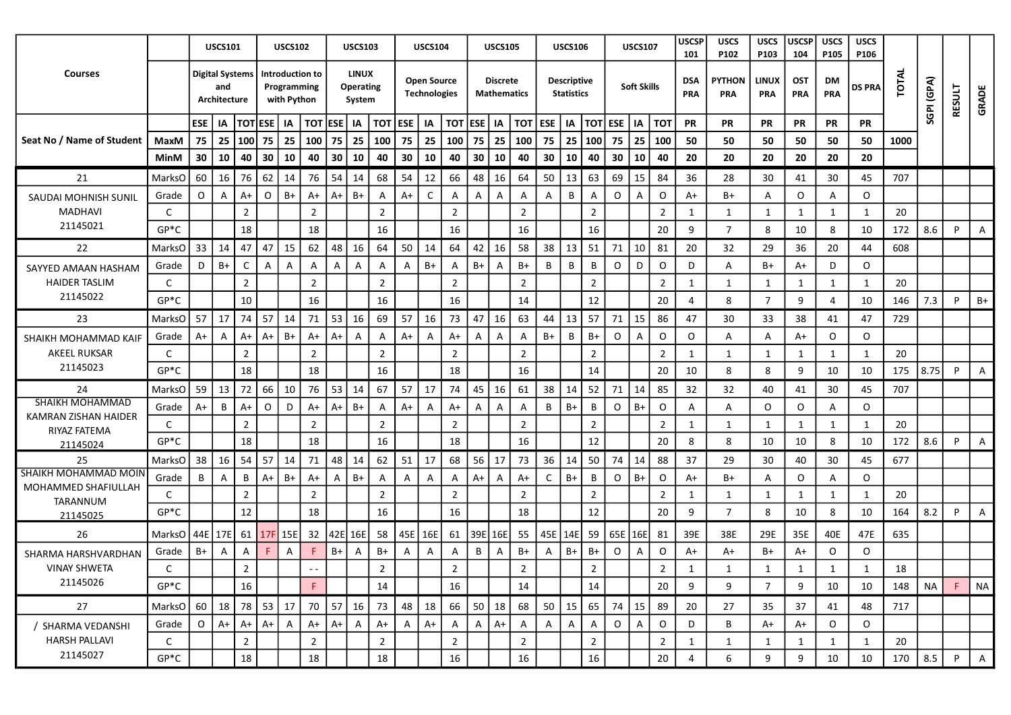| TOTAL<br><b>LINUX</b><br><b>Courses</b><br><b>Digital Systems</b><br>Introduction to<br>SGPI (GPA)<br><b>Open Source</b><br><b>Descriptive</b><br><b>PYTHON</b><br><b>LINUX</b><br><b>Discrete</b><br><b>DSA</b><br><b>OST</b><br>DM<br><b>Soft Skills</b><br>and<br>Programming<br><b>Operating</b><br><b>DS PRA</b><br>RESULT<br>GRADE<br><b>Technologies</b><br><b>Statistics</b><br><b>Mathematics</b><br>PRA<br>PRA<br><b>PRA</b><br>PRA<br>PRA<br>with Python<br>Architecture<br>System<br><b>TOTESE</b><br>$\sqrt{1}$ ESE $\sqrt{1}$<br>TOT<br><b>ESE</b><br>ESE   IA<br><b>TOT ESE</b><br><b>TOT</b><br><b>ESE</b><br><b>TOT ESE</b><br><b>PR</b><br>IA<br>IA<br>  IA<br>IA<br>  тот<br>  IA<br><b>TOT</b><br><b>PR</b><br>PR<br><b>PR</b><br>  IA<br>PR<br>PR<br>Seat No / Name of Student<br>25<br>75   25<br>  100 <br>75<br>75<br>25<br>75<br>25<br>100<br>75<br>25<br>100<br>75<br>25<br> 100 <br>75<br>25<br>50<br>50<br>MaxM<br>100<br>100<br>50<br>50<br>50<br>50<br>1000<br>100<br>30<br>30<br>10<br>40<br>30<br>10<br>30<br>10<br>30<br>40<br>10<br>40<br>30<br>10<br>40<br>30<br>10<br>20<br>20<br>20<br>20<br>40<br>40<br>10<br>40<br>20<br>20<br>MinM<br>62<br>54<br>66<br>21<br>60<br>16<br>76<br>14<br>76<br>68<br>54<br>48<br>16<br>64<br>50<br>13<br>63<br>69<br>15<br>84<br>36<br>30<br>707<br>MarksO<br>14<br>12<br>28<br>30<br>41<br>45<br>$A+$<br>$\mathsf{C}$<br>$\circ$<br>O<br>$B+$<br>$B+$<br>$A+$<br>B<br>0<br>$\circ$<br>$A+$<br>O<br>$\circ$<br>A<br>$A+$<br>A+<br>Α<br>A<br>A<br>Α<br>$\overline{A}$<br>B+<br>A<br>Grade<br>Α<br>A<br>A<br>A<br>SAUDAI MOHNISH SUNIL<br>$\overline{2}$<br>$\overline{2}$<br>$\overline{2}$<br>$\overline{2}$<br>$\overline{2}$<br>MADHAVI<br>C<br>$\overline{2}$<br>$\overline{2}$<br>20<br>1<br>1<br>1<br>$\mathbf 1$<br>1<br>$\mathbf{1}$<br>21145021<br>$GP*C$<br>18<br>18<br>16<br>16<br>16<br>16<br>20<br>9<br>8<br>10<br>172<br>8.6<br>7<br>8<br>10<br>P<br>Α<br>$33 \mid 14$<br>47<br>47<br>15<br>62<br>48<br>16<br>64<br>50<br>64<br>42<br>58<br>38<br>  $13$<br>51<br>10<br>14<br>16<br>71<br>81<br>20<br>32<br>29<br>36<br>20<br>608<br>22<br><b>MarksO</b><br>44<br>$B+$<br>$B+$<br>B+<br>B+<br>B<br>B<br>B<br>0<br>D<br>$\circ$<br>B+<br>$\circ$<br>D<br>C<br>A<br>$\mathsf{A}$<br>Α<br>$\mathsf{A}$<br>A<br>$\mathsf{A}$<br>D<br>D<br>Grade<br>A<br>A<br>A+<br>A<br>A<br>SAYYED AMAAN HASHAM<br><b>HAIDER TASLIM</b><br>$\overline{2}$<br>$\overline{2}$<br>$\overline{2}$<br>$\overline{2}$<br>$\overline{2}$<br>$\overline{2}$<br>C<br>$\overline{2}$<br>20<br>1<br>1<br>1<br>1<br>1<br>1<br>21145022<br>$GP*C$<br>10<br>16<br>16<br>16<br>14<br>12<br>$\overline{7}$<br>7.3<br>20<br>8<br>9<br>10<br>146<br>$B+$<br>4<br>P<br>Δ<br>53<br>47<br>57<br>57<br>17<br>74<br>57<br>14<br>71<br>16<br>69<br>57<br>73<br>16<br>63<br>13<br>71<br>15<br>86<br>47<br>30<br>33<br>38<br>729<br>23<br>16<br>44<br>47<br>MarksO<br>41<br>$A+$<br>$A+$<br>$B+$<br>B<br>$B+$<br>$\circ$<br>$\circ$<br>O<br>O<br>O<br>$A+$<br>$A+$<br>B+<br>$A+$<br>A<br>$A+$<br>A<br>Α<br>Α<br>A<br>A+<br>Grade<br>$A+$<br>A<br>Α<br>A<br>A<br>A<br>SHAIKH MOHAMMAD KAIF<br><b>AKEEL RUKSAR</b><br>$\overline{2}$<br>$\overline{2}$<br>$\overline{2}$<br>$\overline{2}$<br>20<br>C<br>$\overline{2}$<br>$\overline{2}$<br>$\overline{2}$<br>1<br>1<br>1<br>1<br>1<br>1<br>21145023<br>$GP*C$<br>18<br>18<br>16<br>18<br>16<br>14<br>8.75<br>20<br>10<br>8<br>9<br>10<br>10<br>175<br>P<br>8<br>A<br>66<br>53<br>67<br>45<br>52<br>59<br>13<br>72<br>10<br>76<br>14<br>57<br>17<br>74<br>61<br>38<br>14<br>71<br>14<br>85<br>16<br>32<br>32<br>40<br>41<br>30<br>45<br>707<br>24<br>MarksO<br>SHAIKH MOHAMMAD<br>B<br>$\circ$<br>B<br>O<br>D<br>$A+$<br>$B+$<br>$A+$<br>B<br>$B+$<br>O<br>$B+$<br>$\circ$<br>$\circ$<br>$\circ$<br>Grade<br>$A+$<br>A+<br>$A+$<br>A<br>A<br>Α<br>A+<br>Α<br>A<br>A<br>A<br>A<br>KAMRAN ZISHAN HAIDER<br>$\overline{2}$<br>$\overline{2}$<br>$\overline{2}$<br>$\overline{2}$<br>$\overline{2}$<br>$\overline{2}$<br>$\overline{2}$<br>20<br>C<br>1<br>1<br>1<br>1<br>-1<br>-1<br>RIYAZ FATEMA<br>$GP*C$<br>18<br>18<br>16<br>18<br>16<br>12<br>20<br>8<br>10<br>10<br>8<br>172<br>8.6<br>P<br>8<br>10<br>A<br>21145024<br>54<br>57<br>48<br>62<br>56<br>50<br>38 l<br>16<br>14<br>14<br>51<br>17<br>68<br>17<br>73<br>36<br>14<br>74<br>14<br>88<br>37<br>677<br>25<br>71<br>29<br>30<br>40<br>30<br>45<br><b>MarksO</b><br>$B+$<br>B<br>O<br>$B+$<br>$\circ$<br>B<br>$A+$<br>$B+$<br>B+<br>A<br>$A+$<br>A+<br>C<br>B+<br>O<br>$\circ$<br>Grade<br>B<br>$A+$<br>Α<br>A<br>Α<br>A+<br>Α<br>A<br>Α<br>A<br>A<br>MOHAMMED SHAFIULLAH<br>$\overline{2}$<br>$\overline{2}$<br>$\overline{2}$<br>$\overline{2}$<br>$\overline{2}$<br>$\overline{2}$<br>$\overline{2}$<br>20<br>C<br>1<br>1<br>1<br>$\mathbf{1}$<br>-1<br>TARANNUM<br>$GP*C$<br>12<br>18<br>16<br>16<br>12<br>18<br>20<br>9<br>8<br>10<br>164<br>7<br>8<br>10<br>8.2<br>P<br>Α<br>21145025<br>61<br>39E<br>45E   14E   59<br>61<br>15E<br>32 42E<br>16E<br>58<br>45E<br>16E<br>16E<br>55<br>65E 16E<br>39E<br>29E<br>35E<br>47E<br>635<br>26<br>MarksO   44E   17E  <br>17F<br>81<br>38E<br>40E<br>B+<br>B+<br>$\circ$<br>$\circ$<br>F<br>B+<br>A<br>B<br>B+<br>B+<br>0<br>A+<br>B+<br>A+<br>$\circ$<br>Grade<br>B+<br>A<br>A<br>A<br>A<br>A<br>A<br>A<br>A+<br>A<br>А<br>SHARMA HARSHVARDHAN<br><b>VINAY SHWETA</b><br>$\overline{2}$<br>$\overline{2}$<br>$\mathcal{L}$<br>$\overline{2}$<br>$\overline{2}$<br>18<br>$\mathcal{D}$<br>$\mathbf{1}$<br>$\overline{\mathbf{1}}$<br>$\overline{\mathbf{1}}$<br>21145026<br>$GP*C$<br>16<br>F<br>16<br>14<br>14<br>20<br><b>NA</b><br>F.<br><b>NA</b><br>14<br>9<br>$\overline{7}$<br>9<br>10<br>10<br>148<br>9<br>57<br>27<br>78<br>53<br>17<br>70<br>73<br>18<br>66<br>50<br>68<br>50<br>15<br>65<br>15<br>60  <br> 18 <br>16<br>48<br>18<br>74<br>89<br>20<br>35<br>37<br>717<br>MarksO<br>27<br>48<br>41<br>$\circ$<br>$A+$<br>$A+$<br>$A+$<br>$\overline{A}$<br>$A+$<br>$\overline{A}$<br>$\mathsf O$<br>$\mathsf{O}$<br>$\mathsf O$<br>$\circ$<br>$A+$<br>$A+$<br>$\mathsf{A}$<br>$A+$<br>$\mathsf{A}$<br>$\overline{A}$<br>$A+$<br>$\mathsf{A}$<br>A<br>$\mathsf{A}$<br>$\mathsf{A}$<br>$\overline{A}$<br>D<br>B<br>$A+$<br>Grade<br>A+<br>/ SHARMA VEDANSHI<br><b>HARSH PALLAVI</b><br>$\overline{2}$<br>$\overline{2}$<br>$\overline{2}$<br>$\overline{2}$<br>$\overline{2}$<br>$\overline{2}$<br>C<br>$\overline{2}$<br>20<br>1<br>1<br>1<br>1<br>1<br>1<br>21145027<br>18<br>$16\,$<br>18<br>18<br>16<br>8.5<br>$GP*C$<br>16<br>20<br>9<br>170<br>$\mathsf{P}$<br>9<br>10<br>10<br>4<br>6<br>A |                      |  | <b>USCS101</b> |  | <b>USCS102</b> | <b>USCS103</b> |  | <b>USCS104</b> |  | <b>USCS105</b> |  | <b>USCS106</b> |  | <b>USCS107</b> | <b>USCSP</b><br>101 | <b>USCS</b><br>P <sub>102</sub> | <b>USCS</b><br>P103 | <b>USCSP</b><br>104 | <b>USCS</b><br>P <sub>105</sub> | <b>USCS</b><br>P106 |  |  |
|-------------------------------------------------------------------------------------------------------------------------------------------------------------------------------------------------------------------------------------------------------------------------------------------------------------------------------------------------------------------------------------------------------------------------------------------------------------------------------------------------------------------------------------------------------------------------------------------------------------------------------------------------------------------------------------------------------------------------------------------------------------------------------------------------------------------------------------------------------------------------------------------------------------------------------------------------------------------------------------------------------------------------------------------------------------------------------------------------------------------------------------------------------------------------------------------------------------------------------------------------------------------------------------------------------------------------------------------------------------------------------------------------------------------------------------------------------------------------------------------------------------------------------------------------------------------------------------------------------------------------------------------------------------------------------------------------------------------------------------------------------------------------------------------------------------------------------------------------------------------------------------------------------------------------------------------------------------------------------------------------------------------------------------------------------------------------------------------------------------------------------------------------------------------------------------------------------------------------------------------------------------------------------------------------------------------------------------------------------------------------------------------------------------------------------------------------------------------------------------------------------------------------------------------------------------------------------------------------------------------------------------------------------------------------------------------------------------------------------------------------------------------------------------------------------------------------------------------------------------------------------------------------------------------------------------------------------------------------------------------------------------------------------------------------------------------------------------------------------------------------------------------------------------------------------------------------------------------------------------------------------------------------------------------------------------------------------------------------------------------------------------------------------------------------------------------------------------------------------------------------------------------------------------------------------------------------------------------------------------------------------------------------------------------------------------------------------------------------------------------------------------------------------------------------------------------------------------------------------------------------------------------------------------------------------------------------------------------------------------------------------------------------------------------------------------------------------------------------------------------------------------------------------------------------------------------------------------------------------------------------------------------------------------------------------------------------------------------------------------------------------------------------------------------------------------------------------------------------------------------------------------------------------------------------------------------------------------------------------------------------------------------------------------------------------------------------------------------------------------------------------------------------------------------------------------------------------------------------------------------------------------------------------------------------------------------------------------------------------------------------------------------------------------------------------------------------------------------------------------------------------------------------------------------------------------------------------------------------------------------------------------------------------------------------------------------------------------------------------------------------------------------------------------------------------------------------------------------------------------------------------------------------------------------------------------------------------------------------------------------------------------------------------------------------------------------------------------------------------------------------------------------------------------------------------------------------------------------------------------------------------------------------------------------------------------------------------------------------------------------------------------------------------------------------------------------------------------------------------------------------------------------------------------------------------------------------------------------------------------------------------------------------------------------------------------------------------------------------------------------------------------------------------------------------------------------------------------------------------------------------------------------------------------------------------------------------------------------------------|----------------------|--|----------------|--|----------------|----------------|--|----------------|--|----------------|--|----------------|--|----------------|---------------------|---------------------------------|---------------------|---------------------|---------------------------------|---------------------|--|--|
|                                                                                                                                                                                                                                                                                                                                                                                                                                                                                                                                                                                                                                                                                                                                                                                                                                                                                                                                                                                                                                                                                                                                                                                                                                                                                                                                                                                                                                                                                                                                                                                                                                                                                                                                                                                                                                                                                                                                                                                                                                                                                                                                                                                                                                                                                                                                                                                                                                                                                                                                                                                                                                                                                                                                                                                                                                                                                                                                                                                                                                                                                                                                                                                                                                                                                                                                                                                                                                                                                                                                                                                                                                                                                                                                                                                                                                                                                                                                                                                                                                                                                                                                                                                                                                                                                                                                                                                                                                                                                                                                                                                                                                                                                                                                                                                                                                                                                                                                                                                                                                                                                                                                                                                                                                                                                                                                                                                                                                                                                                                                                                                                                                                                                                                                                                                                                                                                                                                                                                                                                                                                                                                                                                                                                                                                                                                                                                                                                                                                                                                                                                                                       |                      |  |                |  |                |                |  |                |  |                |  |                |  |                |                     |                                 |                     |                     |                                 |                     |  |  |
|                                                                                                                                                                                                                                                                                                                                                                                                                                                                                                                                                                                                                                                                                                                                                                                                                                                                                                                                                                                                                                                                                                                                                                                                                                                                                                                                                                                                                                                                                                                                                                                                                                                                                                                                                                                                                                                                                                                                                                                                                                                                                                                                                                                                                                                                                                                                                                                                                                                                                                                                                                                                                                                                                                                                                                                                                                                                                                                                                                                                                                                                                                                                                                                                                                                                                                                                                                                                                                                                                                                                                                                                                                                                                                                                                                                                                                                                                                                                                                                                                                                                                                                                                                                                                                                                                                                                                                                                                                                                                                                                                                                                                                                                                                                                                                                                                                                                                                                                                                                                                                                                                                                                                                                                                                                                                                                                                                                                                                                                                                                                                                                                                                                                                                                                                                                                                                                                                                                                                                                                                                                                                                                                                                                                                                                                                                                                                                                                                                                                                                                                                                                                       |                      |  |                |  |                |                |  |                |  |                |  |                |  |                |                     |                                 |                     |                     |                                 |                     |  |  |
|                                                                                                                                                                                                                                                                                                                                                                                                                                                                                                                                                                                                                                                                                                                                                                                                                                                                                                                                                                                                                                                                                                                                                                                                                                                                                                                                                                                                                                                                                                                                                                                                                                                                                                                                                                                                                                                                                                                                                                                                                                                                                                                                                                                                                                                                                                                                                                                                                                                                                                                                                                                                                                                                                                                                                                                                                                                                                                                                                                                                                                                                                                                                                                                                                                                                                                                                                                                                                                                                                                                                                                                                                                                                                                                                                                                                                                                                                                                                                                                                                                                                                                                                                                                                                                                                                                                                                                                                                                                                                                                                                                                                                                                                                                                                                                                                                                                                                                                                                                                                                                                                                                                                                                                                                                                                                                                                                                                                                                                                                                                                                                                                                                                                                                                                                                                                                                                                                                                                                                                                                                                                                                                                                                                                                                                                                                                                                                                                                                                                                                                                                                                                       |                      |  |                |  |                |                |  |                |  |                |  |                |  |                |                     |                                 |                     |                     |                                 |                     |  |  |
|                                                                                                                                                                                                                                                                                                                                                                                                                                                                                                                                                                                                                                                                                                                                                                                                                                                                                                                                                                                                                                                                                                                                                                                                                                                                                                                                                                                                                                                                                                                                                                                                                                                                                                                                                                                                                                                                                                                                                                                                                                                                                                                                                                                                                                                                                                                                                                                                                                                                                                                                                                                                                                                                                                                                                                                                                                                                                                                                                                                                                                                                                                                                                                                                                                                                                                                                                                                                                                                                                                                                                                                                                                                                                                                                                                                                                                                                                                                                                                                                                                                                                                                                                                                                                                                                                                                                                                                                                                                                                                                                                                                                                                                                                                                                                                                                                                                                                                                                                                                                                                                                                                                                                                                                                                                                                                                                                                                                                                                                                                                                                                                                                                                                                                                                                                                                                                                                                                                                                                                                                                                                                                                                                                                                                                                                                                                                                                                                                                                                                                                                                                                                       |                      |  |                |  |                |                |  |                |  |                |  |                |  |                |                     |                                 |                     |                     |                                 |                     |  |  |
|                                                                                                                                                                                                                                                                                                                                                                                                                                                                                                                                                                                                                                                                                                                                                                                                                                                                                                                                                                                                                                                                                                                                                                                                                                                                                                                                                                                                                                                                                                                                                                                                                                                                                                                                                                                                                                                                                                                                                                                                                                                                                                                                                                                                                                                                                                                                                                                                                                                                                                                                                                                                                                                                                                                                                                                                                                                                                                                                                                                                                                                                                                                                                                                                                                                                                                                                                                                                                                                                                                                                                                                                                                                                                                                                                                                                                                                                                                                                                                                                                                                                                                                                                                                                                                                                                                                                                                                                                                                                                                                                                                                                                                                                                                                                                                                                                                                                                                                                                                                                                                                                                                                                                                                                                                                                                                                                                                                                                                                                                                                                                                                                                                                                                                                                                                                                                                                                                                                                                                                                                                                                                                                                                                                                                                                                                                                                                                                                                                                                                                                                                                                                       |                      |  |                |  |                |                |  |                |  |                |  |                |  |                |                     |                                 |                     |                     |                                 |                     |  |  |
|                                                                                                                                                                                                                                                                                                                                                                                                                                                                                                                                                                                                                                                                                                                                                                                                                                                                                                                                                                                                                                                                                                                                                                                                                                                                                                                                                                                                                                                                                                                                                                                                                                                                                                                                                                                                                                                                                                                                                                                                                                                                                                                                                                                                                                                                                                                                                                                                                                                                                                                                                                                                                                                                                                                                                                                                                                                                                                                                                                                                                                                                                                                                                                                                                                                                                                                                                                                                                                                                                                                                                                                                                                                                                                                                                                                                                                                                                                                                                                                                                                                                                                                                                                                                                                                                                                                                                                                                                                                                                                                                                                                                                                                                                                                                                                                                                                                                                                                                                                                                                                                                                                                                                                                                                                                                                                                                                                                                                                                                                                                                                                                                                                                                                                                                                                                                                                                                                                                                                                                                                                                                                                                                                                                                                                                                                                                                                                                                                                                                                                                                                                                                       |                      |  |                |  |                |                |  |                |  |                |  |                |  |                |                     |                                 |                     |                     |                                 |                     |  |  |
|                                                                                                                                                                                                                                                                                                                                                                                                                                                                                                                                                                                                                                                                                                                                                                                                                                                                                                                                                                                                                                                                                                                                                                                                                                                                                                                                                                                                                                                                                                                                                                                                                                                                                                                                                                                                                                                                                                                                                                                                                                                                                                                                                                                                                                                                                                                                                                                                                                                                                                                                                                                                                                                                                                                                                                                                                                                                                                                                                                                                                                                                                                                                                                                                                                                                                                                                                                                                                                                                                                                                                                                                                                                                                                                                                                                                                                                                                                                                                                                                                                                                                                                                                                                                                                                                                                                                                                                                                                                                                                                                                                                                                                                                                                                                                                                                                                                                                                                                                                                                                                                                                                                                                                                                                                                                                                                                                                                                                                                                                                                                                                                                                                                                                                                                                                                                                                                                                                                                                                                                                                                                                                                                                                                                                                                                                                                                                                                                                                                                                                                                                                                                       |                      |  |                |  |                |                |  |                |  |                |  |                |  |                |                     |                                 |                     |                     |                                 |                     |  |  |
|                                                                                                                                                                                                                                                                                                                                                                                                                                                                                                                                                                                                                                                                                                                                                                                                                                                                                                                                                                                                                                                                                                                                                                                                                                                                                                                                                                                                                                                                                                                                                                                                                                                                                                                                                                                                                                                                                                                                                                                                                                                                                                                                                                                                                                                                                                                                                                                                                                                                                                                                                                                                                                                                                                                                                                                                                                                                                                                                                                                                                                                                                                                                                                                                                                                                                                                                                                                                                                                                                                                                                                                                                                                                                                                                                                                                                                                                                                                                                                                                                                                                                                                                                                                                                                                                                                                                                                                                                                                                                                                                                                                                                                                                                                                                                                                                                                                                                                                                                                                                                                                                                                                                                                                                                                                                                                                                                                                                                                                                                                                                                                                                                                                                                                                                                                                                                                                                                                                                                                                                                                                                                                                                                                                                                                                                                                                                                                                                                                                                                                                                                                                                       |                      |  |                |  |                |                |  |                |  |                |  |                |  |                |                     |                                 |                     |                     |                                 |                     |  |  |
|                                                                                                                                                                                                                                                                                                                                                                                                                                                                                                                                                                                                                                                                                                                                                                                                                                                                                                                                                                                                                                                                                                                                                                                                                                                                                                                                                                                                                                                                                                                                                                                                                                                                                                                                                                                                                                                                                                                                                                                                                                                                                                                                                                                                                                                                                                                                                                                                                                                                                                                                                                                                                                                                                                                                                                                                                                                                                                                                                                                                                                                                                                                                                                                                                                                                                                                                                                                                                                                                                                                                                                                                                                                                                                                                                                                                                                                                                                                                                                                                                                                                                                                                                                                                                                                                                                                                                                                                                                                                                                                                                                                                                                                                                                                                                                                                                                                                                                                                                                                                                                                                                                                                                                                                                                                                                                                                                                                                                                                                                                                                                                                                                                                                                                                                                                                                                                                                                                                                                                                                                                                                                                                                                                                                                                                                                                                                                                                                                                                                                                                                                                                                       |                      |  |                |  |                |                |  |                |  |                |  |                |  |                |                     |                                 |                     |                     |                                 |                     |  |  |
|                                                                                                                                                                                                                                                                                                                                                                                                                                                                                                                                                                                                                                                                                                                                                                                                                                                                                                                                                                                                                                                                                                                                                                                                                                                                                                                                                                                                                                                                                                                                                                                                                                                                                                                                                                                                                                                                                                                                                                                                                                                                                                                                                                                                                                                                                                                                                                                                                                                                                                                                                                                                                                                                                                                                                                                                                                                                                                                                                                                                                                                                                                                                                                                                                                                                                                                                                                                                                                                                                                                                                                                                                                                                                                                                                                                                                                                                                                                                                                                                                                                                                                                                                                                                                                                                                                                                                                                                                                                                                                                                                                                                                                                                                                                                                                                                                                                                                                                                                                                                                                                                                                                                                                                                                                                                                                                                                                                                                                                                                                                                                                                                                                                                                                                                                                                                                                                                                                                                                                                                                                                                                                                                                                                                                                                                                                                                                                                                                                                                                                                                                                                                       |                      |  |                |  |                |                |  |                |  |                |  |                |  |                |                     |                                 |                     |                     |                                 |                     |  |  |
|                                                                                                                                                                                                                                                                                                                                                                                                                                                                                                                                                                                                                                                                                                                                                                                                                                                                                                                                                                                                                                                                                                                                                                                                                                                                                                                                                                                                                                                                                                                                                                                                                                                                                                                                                                                                                                                                                                                                                                                                                                                                                                                                                                                                                                                                                                                                                                                                                                                                                                                                                                                                                                                                                                                                                                                                                                                                                                                                                                                                                                                                                                                                                                                                                                                                                                                                                                                                                                                                                                                                                                                                                                                                                                                                                                                                                                                                                                                                                                                                                                                                                                                                                                                                                                                                                                                                                                                                                                                                                                                                                                                                                                                                                                                                                                                                                                                                                                                                                                                                                                                                                                                                                                                                                                                                                                                                                                                                                                                                                                                                                                                                                                                                                                                                                                                                                                                                                                                                                                                                                                                                                                                                                                                                                                                                                                                                                                                                                                                                                                                                                                                                       |                      |  |                |  |                |                |  |                |  |                |  |                |  |                |                     |                                 |                     |                     |                                 |                     |  |  |
|                                                                                                                                                                                                                                                                                                                                                                                                                                                                                                                                                                                                                                                                                                                                                                                                                                                                                                                                                                                                                                                                                                                                                                                                                                                                                                                                                                                                                                                                                                                                                                                                                                                                                                                                                                                                                                                                                                                                                                                                                                                                                                                                                                                                                                                                                                                                                                                                                                                                                                                                                                                                                                                                                                                                                                                                                                                                                                                                                                                                                                                                                                                                                                                                                                                                                                                                                                                                                                                                                                                                                                                                                                                                                                                                                                                                                                                                                                                                                                                                                                                                                                                                                                                                                                                                                                                                                                                                                                                                                                                                                                                                                                                                                                                                                                                                                                                                                                                                                                                                                                                                                                                                                                                                                                                                                                                                                                                                                                                                                                                                                                                                                                                                                                                                                                                                                                                                                                                                                                                                                                                                                                                                                                                                                                                                                                                                                                                                                                                                                                                                                                                                       |                      |  |                |  |                |                |  |                |  |                |  |                |  |                |                     |                                 |                     |                     |                                 |                     |  |  |
|                                                                                                                                                                                                                                                                                                                                                                                                                                                                                                                                                                                                                                                                                                                                                                                                                                                                                                                                                                                                                                                                                                                                                                                                                                                                                                                                                                                                                                                                                                                                                                                                                                                                                                                                                                                                                                                                                                                                                                                                                                                                                                                                                                                                                                                                                                                                                                                                                                                                                                                                                                                                                                                                                                                                                                                                                                                                                                                                                                                                                                                                                                                                                                                                                                                                                                                                                                                                                                                                                                                                                                                                                                                                                                                                                                                                                                                                                                                                                                                                                                                                                                                                                                                                                                                                                                                                                                                                                                                                                                                                                                                                                                                                                                                                                                                                                                                                                                                                                                                                                                                                                                                                                                                                                                                                                                                                                                                                                                                                                                                                                                                                                                                                                                                                                                                                                                                                                                                                                                                                                                                                                                                                                                                                                                                                                                                                                                                                                                                                                                                                                                                                       |                      |  |                |  |                |                |  |                |  |                |  |                |  |                |                     |                                 |                     |                     |                                 |                     |  |  |
|                                                                                                                                                                                                                                                                                                                                                                                                                                                                                                                                                                                                                                                                                                                                                                                                                                                                                                                                                                                                                                                                                                                                                                                                                                                                                                                                                                                                                                                                                                                                                                                                                                                                                                                                                                                                                                                                                                                                                                                                                                                                                                                                                                                                                                                                                                                                                                                                                                                                                                                                                                                                                                                                                                                                                                                                                                                                                                                                                                                                                                                                                                                                                                                                                                                                                                                                                                                                                                                                                                                                                                                                                                                                                                                                                                                                                                                                                                                                                                                                                                                                                                                                                                                                                                                                                                                                                                                                                                                                                                                                                                                                                                                                                                                                                                                                                                                                                                                                                                                                                                                                                                                                                                                                                                                                                                                                                                                                                                                                                                                                                                                                                                                                                                                                                                                                                                                                                                                                                                                                                                                                                                                                                                                                                                                                                                                                                                                                                                                                                                                                                                                                       |                      |  |                |  |                |                |  |                |  |                |  |                |  |                |                     |                                 |                     |                     |                                 |                     |  |  |
|                                                                                                                                                                                                                                                                                                                                                                                                                                                                                                                                                                                                                                                                                                                                                                                                                                                                                                                                                                                                                                                                                                                                                                                                                                                                                                                                                                                                                                                                                                                                                                                                                                                                                                                                                                                                                                                                                                                                                                                                                                                                                                                                                                                                                                                                                                                                                                                                                                                                                                                                                                                                                                                                                                                                                                                                                                                                                                                                                                                                                                                                                                                                                                                                                                                                                                                                                                                                                                                                                                                                                                                                                                                                                                                                                                                                                                                                                                                                                                                                                                                                                                                                                                                                                                                                                                                                                                                                                                                                                                                                                                                                                                                                                                                                                                                                                                                                                                                                                                                                                                                                                                                                                                                                                                                                                                                                                                                                                                                                                                                                                                                                                                                                                                                                                                                                                                                                                                                                                                                                                                                                                                                                                                                                                                                                                                                                                                                                                                                                                                                                                                                                       |                      |  |                |  |                |                |  |                |  |                |  |                |  |                |                     |                                 |                     |                     |                                 |                     |  |  |
|                                                                                                                                                                                                                                                                                                                                                                                                                                                                                                                                                                                                                                                                                                                                                                                                                                                                                                                                                                                                                                                                                                                                                                                                                                                                                                                                                                                                                                                                                                                                                                                                                                                                                                                                                                                                                                                                                                                                                                                                                                                                                                                                                                                                                                                                                                                                                                                                                                                                                                                                                                                                                                                                                                                                                                                                                                                                                                                                                                                                                                                                                                                                                                                                                                                                                                                                                                                                                                                                                                                                                                                                                                                                                                                                                                                                                                                                                                                                                                                                                                                                                                                                                                                                                                                                                                                                                                                                                                                                                                                                                                                                                                                                                                                                                                                                                                                                                                                                                                                                                                                                                                                                                                                                                                                                                                                                                                                                                                                                                                                                                                                                                                                                                                                                                                                                                                                                                                                                                                                                                                                                                                                                                                                                                                                                                                                                                                                                                                                                                                                                                                                                       |                      |  |                |  |                |                |  |                |  |                |  |                |  |                |                     |                                 |                     |                     |                                 |                     |  |  |
|                                                                                                                                                                                                                                                                                                                                                                                                                                                                                                                                                                                                                                                                                                                                                                                                                                                                                                                                                                                                                                                                                                                                                                                                                                                                                                                                                                                                                                                                                                                                                                                                                                                                                                                                                                                                                                                                                                                                                                                                                                                                                                                                                                                                                                                                                                                                                                                                                                                                                                                                                                                                                                                                                                                                                                                                                                                                                                                                                                                                                                                                                                                                                                                                                                                                                                                                                                                                                                                                                                                                                                                                                                                                                                                                                                                                                                                                                                                                                                                                                                                                                                                                                                                                                                                                                                                                                                                                                                                                                                                                                                                                                                                                                                                                                                                                                                                                                                                                                                                                                                                                                                                                                                                                                                                                                                                                                                                                                                                                                                                                                                                                                                                                                                                                                                                                                                                                                                                                                                                                                                                                                                                                                                                                                                                                                                                                                                                                                                                                                                                                                                                                       |                      |  |                |  |                |                |  |                |  |                |  |                |  |                |                     |                                 |                     |                     |                                 |                     |  |  |
|                                                                                                                                                                                                                                                                                                                                                                                                                                                                                                                                                                                                                                                                                                                                                                                                                                                                                                                                                                                                                                                                                                                                                                                                                                                                                                                                                                                                                                                                                                                                                                                                                                                                                                                                                                                                                                                                                                                                                                                                                                                                                                                                                                                                                                                                                                                                                                                                                                                                                                                                                                                                                                                                                                                                                                                                                                                                                                                                                                                                                                                                                                                                                                                                                                                                                                                                                                                                                                                                                                                                                                                                                                                                                                                                                                                                                                                                                                                                                                                                                                                                                                                                                                                                                                                                                                                                                                                                                                                                                                                                                                                                                                                                                                                                                                                                                                                                                                                                                                                                                                                                                                                                                                                                                                                                                                                                                                                                                                                                                                                                                                                                                                                                                                                                                                                                                                                                                                                                                                                                                                                                                                                                                                                                                                                                                                                                                                                                                                                                                                                                                                                                       |                      |  |                |  |                |                |  |                |  |                |  |                |  |                |                     |                                 |                     |                     |                                 |                     |  |  |
|                                                                                                                                                                                                                                                                                                                                                                                                                                                                                                                                                                                                                                                                                                                                                                                                                                                                                                                                                                                                                                                                                                                                                                                                                                                                                                                                                                                                                                                                                                                                                                                                                                                                                                                                                                                                                                                                                                                                                                                                                                                                                                                                                                                                                                                                                                                                                                                                                                                                                                                                                                                                                                                                                                                                                                                                                                                                                                                                                                                                                                                                                                                                                                                                                                                                                                                                                                                                                                                                                                                                                                                                                                                                                                                                                                                                                                                                                                                                                                                                                                                                                                                                                                                                                                                                                                                                                                                                                                                                                                                                                                                                                                                                                                                                                                                                                                                                                                                                                                                                                                                                                                                                                                                                                                                                                                                                                                                                                                                                                                                                                                                                                                                                                                                                                                                                                                                                                                                                                                                                                                                                                                                                                                                                                                                                                                                                                                                                                                                                                                                                                                                                       |                      |  |                |  |                |                |  |                |  |                |  |                |  |                |                     |                                 |                     |                     |                                 |                     |  |  |
|                                                                                                                                                                                                                                                                                                                                                                                                                                                                                                                                                                                                                                                                                                                                                                                                                                                                                                                                                                                                                                                                                                                                                                                                                                                                                                                                                                                                                                                                                                                                                                                                                                                                                                                                                                                                                                                                                                                                                                                                                                                                                                                                                                                                                                                                                                                                                                                                                                                                                                                                                                                                                                                                                                                                                                                                                                                                                                                                                                                                                                                                                                                                                                                                                                                                                                                                                                                                                                                                                                                                                                                                                                                                                                                                                                                                                                                                                                                                                                                                                                                                                                                                                                                                                                                                                                                                                                                                                                                                                                                                                                                                                                                                                                                                                                                                                                                                                                                                                                                                                                                                                                                                                                                                                                                                                                                                                                                                                                                                                                                                                                                                                                                                                                                                                                                                                                                                                                                                                                                                                                                                                                                                                                                                                                                                                                                                                                                                                                                                                                                                                                                                       |                      |  |                |  |                |                |  |                |  |                |  |                |  |                |                     |                                 |                     |                     |                                 |                     |  |  |
|                                                                                                                                                                                                                                                                                                                                                                                                                                                                                                                                                                                                                                                                                                                                                                                                                                                                                                                                                                                                                                                                                                                                                                                                                                                                                                                                                                                                                                                                                                                                                                                                                                                                                                                                                                                                                                                                                                                                                                                                                                                                                                                                                                                                                                                                                                                                                                                                                                                                                                                                                                                                                                                                                                                                                                                                                                                                                                                                                                                                                                                                                                                                                                                                                                                                                                                                                                                                                                                                                                                                                                                                                                                                                                                                                                                                                                                                                                                                                                                                                                                                                                                                                                                                                                                                                                                                                                                                                                                                                                                                                                                                                                                                                                                                                                                                                                                                                                                                                                                                                                                                                                                                                                                                                                                                                                                                                                                                                                                                                                                                                                                                                                                                                                                                                                                                                                                                                                                                                                                                                                                                                                                                                                                                                                                                                                                                                                                                                                                                                                                                                                                                       |                      |  |                |  |                |                |  |                |  |                |  |                |  |                |                     |                                 |                     |                     |                                 |                     |  |  |
|                                                                                                                                                                                                                                                                                                                                                                                                                                                                                                                                                                                                                                                                                                                                                                                                                                                                                                                                                                                                                                                                                                                                                                                                                                                                                                                                                                                                                                                                                                                                                                                                                                                                                                                                                                                                                                                                                                                                                                                                                                                                                                                                                                                                                                                                                                                                                                                                                                                                                                                                                                                                                                                                                                                                                                                                                                                                                                                                                                                                                                                                                                                                                                                                                                                                                                                                                                                                                                                                                                                                                                                                                                                                                                                                                                                                                                                                                                                                                                                                                                                                                                                                                                                                                                                                                                                                                                                                                                                                                                                                                                                                                                                                                                                                                                                                                                                                                                                                                                                                                                                                                                                                                                                                                                                                                                                                                                                                                                                                                                                                                                                                                                                                                                                                                                                                                                                                                                                                                                                                                                                                                                                                                                                                                                                                                                                                                                                                                                                                                                                                                                                                       | SHAIKH MOHAMMAD MOII |  |                |  |                |                |  |                |  |                |  |                |  |                |                     |                                 |                     |                     |                                 |                     |  |  |
|                                                                                                                                                                                                                                                                                                                                                                                                                                                                                                                                                                                                                                                                                                                                                                                                                                                                                                                                                                                                                                                                                                                                                                                                                                                                                                                                                                                                                                                                                                                                                                                                                                                                                                                                                                                                                                                                                                                                                                                                                                                                                                                                                                                                                                                                                                                                                                                                                                                                                                                                                                                                                                                                                                                                                                                                                                                                                                                                                                                                                                                                                                                                                                                                                                                                                                                                                                                                                                                                                                                                                                                                                                                                                                                                                                                                                                                                                                                                                                                                                                                                                                                                                                                                                                                                                                                                                                                                                                                                                                                                                                                                                                                                                                                                                                                                                                                                                                                                                                                                                                                                                                                                                                                                                                                                                                                                                                                                                                                                                                                                                                                                                                                                                                                                                                                                                                                                                                                                                                                                                                                                                                                                                                                                                                                                                                                                                                                                                                                                                                                                                                                                       |                      |  |                |  |                |                |  |                |  |                |  |                |  |                |                     |                                 |                     |                     |                                 |                     |  |  |
|                                                                                                                                                                                                                                                                                                                                                                                                                                                                                                                                                                                                                                                                                                                                                                                                                                                                                                                                                                                                                                                                                                                                                                                                                                                                                                                                                                                                                                                                                                                                                                                                                                                                                                                                                                                                                                                                                                                                                                                                                                                                                                                                                                                                                                                                                                                                                                                                                                                                                                                                                                                                                                                                                                                                                                                                                                                                                                                                                                                                                                                                                                                                                                                                                                                                                                                                                                                                                                                                                                                                                                                                                                                                                                                                                                                                                                                                                                                                                                                                                                                                                                                                                                                                                                                                                                                                                                                                                                                                                                                                                                                                                                                                                                                                                                                                                                                                                                                                                                                                                                                                                                                                                                                                                                                                                                                                                                                                                                                                                                                                                                                                                                                                                                                                                                                                                                                                                                                                                                                                                                                                                                                                                                                                                                                                                                                                                                                                                                                                                                                                                                                                       |                      |  |                |  |                |                |  |                |  |                |  |                |  |                |                     |                                 |                     |                     |                                 |                     |  |  |
|                                                                                                                                                                                                                                                                                                                                                                                                                                                                                                                                                                                                                                                                                                                                                                                                                                                                                                                                                                                                                                                                                                                                                                                                                                                                                                                                                                                                                                                                                                                                                                                                                                                                                                                                                                                                                                                                                                                                                                                                                                                                                                                                                                                                                                                                                                                                                                                                                                                                                                                                                                                                                                                                                                                                                                                                                                                                                                                                                                                                                                                                                                                                                                                                                                                                                                                                                                                                                                                                                                                                                                                                                                                                                                                                                                                                                                                                                                                                                                                                                                                                                                                                                                                                                                                                                                                                                                                                                                                                                                                                                                                                                                                                                                                                                                                                                                                                                                                                                                                                                                                                                                                                                                                                                                                                                                                                                                                                                                                                                                                                                                                                                                                                                                                                                                                                                                                                                                                                                                                                                                                                                                                                                                                                                                                                                                                                                                                                                                                                                                                                                                                                       |                      |  |                |  |                |                |  |                |  |                |  |                |  |                |                     |                                 |                     |                     |                                 |                     |  |  |
|                                                                                                                                                                                                                                                                                                                                                                                                                                                                                                                                                                                                                                                                                                                                                                                                                                                                                                                                                                                                                                                                                                                                                                                                                                                                                                                                                                                                                                                                                                                                                                                                                                                                                                                                                                                                                                                                                                                                                                                                                                                                                                                                                                                                                                                                                                                                                                                                                                                                                                                                                                                                                                                                                                                                                                                                                                                                                                                                                                                                                                                                                                                                                                                                                                                                                                                                                                                                                                                                                                                                                                                                                                                                                                                                                                                                                                                                                                                                                                                                                                                                                                                                                                                                                                                                                                                                                                                                                                                                                                                                                                                                                                                                                                                                                                                                                                                                                                                                                                                                                                                                                                                                                                                                                                                                                                                                                                                                                                                                                                                                                                                                                                                                                                                                                                                                                                                                                                                                                                                                                                                                                                                                                                                                                                                                                                                                                                                                                                                                                                                                                                                                       |                      |  |                |  |                |                |  |                |  |                |  |                |  |                |                     |                                 |                     |                     |                                 |                     |  |  |
|                                                                                                                                                                                                                                                                                                                                                                                                                                                                                                                                                                                                                                                                                                                                                                                                                                                                                                                                                                                                                                                                                                                                                                                                                                                                                                                                                                                                                                                                                                                                                                                                                                                                                                                                                                                                                                                                                                                                                                                                                                                                                                                                                                                                                                                                                                                                                                                                                                                                                                                                                                                                                                                                                                                                                                                                                                                                                                                                                                                                                                                                                                                                                                                                                                                                                                                                                                                                                                                                                                                                                                                                                                                                                                                                                                                                                                                                                                                                                                                                                                                                                                                                                                                                                                                                                                                                                                                                                                                                                                                                                                                                                                                                                                                                                                                                                                                                                                                                                                                                                                                                                                                                                                                                                                                                                                                                                                                                                                                                                                                                                                                                                                                                                                                                                                                                                                                                                                                                                                                                                                                                                                                                                                                                                                                                                                                                                                                                                                                                                                                                                                                                       |                      |  |                |  |                |                |  |                |  |                |  |                |  |                |                     |                                 |                     |                     |                                 |                     |  |  |
|                                                                                                                                                                                                                                                                                                                                                                                                                                                                                                                                                                                                                                                                                                                                                                                                                                                                                                                                                                                                                                                                                                                                                                                                                                                                                                                                                                                                                                                                                                                                                                                                                                                                                                                                                                                                                                                                                                                                                                                                                                                                                                                                                                                                                                                                                                                                                                                                                                                                                                                                                                                                                                                                                                                                                                                                                                                                                                                                                                                                                                                                                                                                                                                                                                                                                                                                                                                                                                                                                                                                                                                                                                                                                                                                                                                                                                                                                                                                                                                                                                                                                                                                                                                                                                                                                                                                                                                                                                                                                                                                                                                                                                                                                                                                                                                                                                                                                                                                                                                                                                                                                                                                                                                                                                                                                                                                                                                                                                                                                                                                                                                                                                                                                                                                                                                                                                                                                                                                                                                                                                                                                                                                                                                                                                                                                                                                                                                                                                                                                                                                                                                                       |                      |  |                |  |                |                |  |                |  |                |  |                |  |                |                     |                                 |                     |                     |                                 |                     |  |  |
|                                                                                                                                                                                                                                                                                                                                                                                                                                                                                                                                                                                                                                                                                                                                                                                                                                                                                                                                                                                                                                                                                                                                                                                                                                                                                                                                                                                                                                                                                                                                                                                                                                                                                                                                                                                                                                                                                                                                                                                                                                                                                                                                                                                                                                                                                                                                                                                                                                                                                                                                                                                                                                                                                                                                                                                                                                                                                                                                                                                                                                                                                                                                                                                                                                                                                                                                                                                                                                                                                                                                                                                                                                                                                                                                                                                                                                                                                                                                                                                                                                                                                                                                                                                                                                                                                                                                                                                                                                                                                                                                                                                                                                                                                                                                                                                                                                                                                                                                                                                                                                                                                                                                                                                                                                                                                                                                                                                                                                                                                                                                                                                                                                                                                                                                                                                                                                                                                                                                                                                                                                                                                                                                                                                                                                                                                                                                                                                                                                                                                                                                                                                                       |                      |  |                |  |                |                |  |                |  |                |  |                |  |                |                     |                                 |                     |                     |                                 |                     |  |  |
|                                                                                                                                                                                                                                                                                                                                                                                                                                                                                                                                                                                                                                                                                                                                                                                                                                                                                                                                                                                                                                                                                                                                                                                                                                                                                                                                                                                                                                                                                                                                                                                                                                                                                                                                                                                                                                                                                                                                                                                                                                                                                                                                                                                                                                                                                                                                                                                                                                                                                                                                                                                                                                                                                                                                                                                                                                                                                                                                                                                                                                                                                                                                                                                                                                                                                                                                                                                                                                                                                                                                                                                                                                                                                                                                                                                                                                                                                                                                                                                                                                                                                                                                                                                                                                                                                                                                                                                                                                                                                                                                                                                                                                                                                                                                                                                                                                                                                                                                                                                                                                                                                                                                                                                                                                                                                                                                                                                                                                                                                                                                                                                                                                                                                                                                                                                                                                                                                                                                                                                                                                                                                                                                                                                                                                                                                                                                                                                                                                                                                                                                                                                                       |                      |  |                |  |                |                |  |                |  |                |  |                |  |                |                     |                                 |                     |                     |                                 |                     |  |  |
|                                                                                                                                                                                                                                                                                                                                                                                                                                                                                                                                                                                                                                                                                                                                                                                                                                                                                                                                                                                                                                                                                                                                                                                                                                                                                                                                                                                                                                                                                                                                                                                                                                                                                                                                                                                                                                                                                                                                                                                                                                                                                                                                                                                                                                                                                                                                                                                                                                                                                                                                                                                                                                                                                                                                                                                                                                                                                                                                                                                                                                                                                                                                                                                                                                                                                                                                                                                                                                                                                                                                                                                                                                                                                                                                                                                                                                                                                                                                                                                                                                                                                                                                                                                                                                                                                                                                                                                                                                                                                                                                                                                                                                                                                                                                                                                                                                                                                                                                                                                                                                                                                                                                                                                                                                                                                                                                                                                                                                                                                                                                                                                                                                                                                                                                                                                                                                                                                                                                                                                                                                                                                                                                                                                                                                                                                                                                                                                                                                                                                                                                                                                                       |                      |  |                |  |                |                |  |                |  |                |  |                |  |                |                     |                                 |                     |                     |                                 |                     |  |  |
|                                                                                                                                                                                                                                                                                                                                                                                                                                                                                                                                                                                                                                                                                                                                                                                                                                                                                                                                                                                                                                                                                                                                                                                                                                                                                                                                                                                                                                                                                                                                                                                                                                                                                                                                                                                                                                                                                                                                                                                                                                                                                                                                                                                                                                                                                                                                                                                                                                                                                                                                                                                                                                                                                                                                                                                                                                                                                                                                                                                                                                                                                                                                                                                                                                                                                                                                                                                                                                                                                                                                                                                                                                                                                                                                                                                                                                                                                                                                                                                                                                                                                                                                                                                                                                                                                                                                                                                                                                                                                                                                                                                                                                                                                                                                                                                                                                                                                                                                                                                                                                                                                                                                                                                                                                                                                                                                                                                                                                                                                                                                                                                                                                                                                                                                                                                                                                                                                                                                                                                                                                                                                                                                                                                                                                                                                                                                                                                                                                                                                                                                                                                                       |                      |  |                |  |                |                |  |                |  |                |  |                |  |                |                     |                                 |                     |                     |                                 |                     |  |  |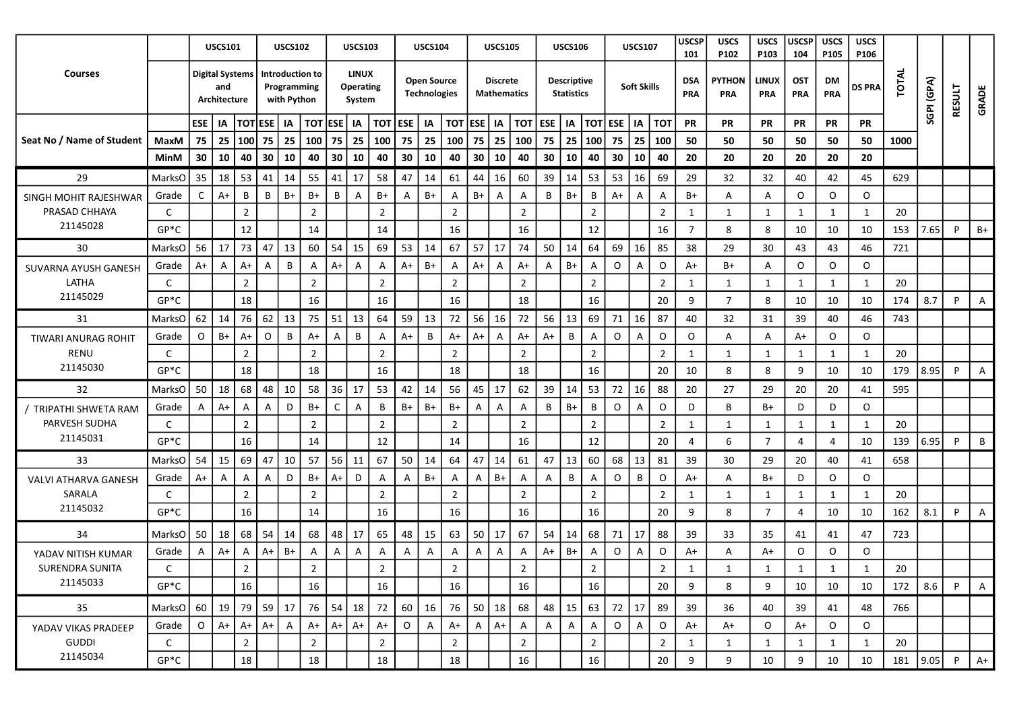|                            |               |                        | <b>USCS101</b>      |                |            | <b>USCS102</b>                                |                | <b>USCS103</b>                             |                           |         | <b>USCS104</b>                            |                  |              | <b>USCS105</b>                        |                |              | <b>USCS106</b>                          |                          |             | <b>USCS107</b>     |                | <b>USCSP</b><br>101 | <b>USCS</b><br>P102  | <b>USCS</b><br>P103     | <b>USCSP</b><br>104      | <b>USCS</b><br>P <sub>105</sub> | <b>USCS</b><br>P106 |       |            |        |                |
|----------------------------|---------------|------------------------|---------------------|----------------|------------|-----------------------------------------------|----------------|--------------------------------------------|---------------------------|---------|-------------------------------------------|------------------|--------------|---------------------------------------|----------------|--------------|-----------------------------------------|--------------------------|-------------|--------------------|----------------|---------------------|----------------------|-------------------------|--------------------------|---------------------------------|---------------------|-------|------------|--------|----------------|
| <b>Courses</b>             |               | <b>Digital Systems</b> | and<br>Architecture |                |            | Introduction to<br>Programming<br>with Python |                | <b>LINUX</b><br><b>Operating</b><br>System |                           |         | <b>Open Source</b><br><b>Technologies</b> |                  |              | <b>Discrete</b><br><b>Mathematics</b> |                |              | <b>Descriptive</b><br><b>Statistics</b> |                          |             | <b>Soft Skills</b> |                | <b>DSA</b><br>PRA   | <b>PYTHON</b><br>PRA | <b>LINUX</b><br>PRA     | <b>OST</b><br><b>PRA</b> | DM<br>PRA                       | <b>DS PRA</b>       | TOTAL | SGPI (GPA) | RESULT | GRADE          |
|                            |               | ESE   IA               |                     | <b>TOTESE</b>  |            | IA                                            | <b>TOT ESE</b> | <b>IA</b>                                  | $\overline{101}$ ESE   IA |         |                                           | $\overline{101}$ | <b>ESE</b>   | IA                                    | тот            | <b>ESE</b>   | IA                                      | <b>TOT ESE</b>           |             | IA                 | <b>TOT</b>     | <b>PR</b>           | PR                   | <b>PR</b>               | PR                       | <b>PR</b>                       | <b>PR</b>           |       |            |        |                |
| Seat No / Name of Student  | MaxM          | 75   25                |                     | 100            | 75         | 25                                            | 100            | 75<br>25                                   | 100                       | 75      | 25                                        | 100              | 75           | 25                                    | 100            | 75           | 25                                      | 100                      | 75          | 25                 | 100            | 50                  | 50                   | 50                      | 50                       | 50                              | 50                  | 1000  |            |        |                |
|                            | MinM          | 30                     | 10                  | 40             | 30         | 10                                            | 40             | 30<br>10                                   | 40                        | 30      | 10                                        | 40               | 30           | 10                                    | 40             | 30           | 10                                      | 40                       | 30          | 10                 | 40             | 20                  | 20                   | 20                      | 20                       | 20                              | 20                  |       |            |        |                |
| 29                         | MarksO        | 35                     | 18                  | 53             | 41         | 14                                            | 55             | 41<br>17                                   | 58                        | 47      | 14                                        | 61               | 44           | 16                                    | 60             | 39           | 14                                      | 53                       | 53          | 16                 | 69             | 29                  | 32                   | 32                      | 40                       | 42                              | 45                  | 629   |            |        |                |
| SINGH MOHIT RAJESHWAR      | Grade         | C                      | $A+$                | В              | B          | $B+$                                          | B+             | В<br>$\mathsf{A}$                          | B+                        | A       | $B+$                                      | Α                | $B+$         | A                                     | A              | B            | $B+$                                    | B                        | $A+$        | A                  | $\mathsf{A}$   | $B+$                | Α                    | Α                       | O                        | O                               | $\circ$             |       |            |        |                |
| PRASAD CHHAYA              | C             |                        |                     | $\overline{2}$ |            |                                               | $\overline{2}$ |                                            | $\overline{2}$            |         |                                           | $\overline{2}$   |              |                                       | $\overline{2}$ |              |                                         | $\overline{2}$           |             |                    | $\overline{2}$ | 1                   | $\mathbf{1}$         | 1                       | 1                        | 1                               | $\mathbf{1}$        | 20    |            |        |                |
| 21145028                   | $GP*C$        |                        |                     | 12             |            |                                               | 14             |                                            | 14                        |         |                                           | 16               |              |                                       | 16             |              |                                         | 12                       |             |                    | 16             | $\overline{7}$      | 8                    | 8                       | 10                       | 10                              | 10                  | 153   | 7.65       | P      | B+             |
| 30                         | MarksO        | 56                     | 17                  | 73             | $\vert$ 47 | 13                                            | 60             | 54<br>15                                   | 69                        | 53      | 14                                        | 67               | 57           | 17                                    | 74             | 50           | $\vert$ 14                              | 64                       | 69          | 16                 | 85             | 38                  | 29                   | 30                      | 43                       | 43                              | 46                  | 721   |            |        |                |
| SUVARNA AYUSH GANESH       | Grade         | $A+$                   | A                   | $A+$           | A          | B                                             | A              | $A+$<br>$\mathsf{A}$                       | A                         | $A+$    | B+                                        | $\mathsf{A}$     | A+           | A                                     | A+             | A            | B+                                      | $\mathsf{A}$             | O           | A                  | $\circ$        | A+                  | B+                   | $\mathsf{A}$            | O                        | $\circ$                         | $\circ$             |       |            |        |                |
| LATHA                      | C             |                        |                     | $\overline{2}$ |            |                                               | $\overline{2}$ |                                            | $\overline{2}$            |         |                                           | $\overline{2}$   |              |                                       | $\overline{2}$ |              |                                         | $\overline{2}$           |             |                    | $\overline{2}$ | 1                   | 1                    | 1                       | 1                        | 1                               | 1                   | 20    |            |        |                |
| 21145029                   | $GP*C$        |                        |                     | 18             |            |                                               | 16             |                                            | 16                        |         |                                           | 16               |              |                                       | 18             |              |                                         | 16                       |             |                    | 20             | 9                   | $\overline{7}$       | 8                       | 10                       | 10                              | 10                  | 174   | 8.7        | P      | A              |
| 31                         | <b>MarksO</b> | 62                     | 14                  | 76             | 62         | 13                                            | 75             | 51<br>13                                   | 64                        | 59      | 13                                        | 72               | 56           | 16                                    | 72             | 56           | 13                                      | 69                       | 71          | 16                 | 87             | 40                  | 32                   | 31                      | 39                       | 40                              | 46                  | 743   |            |        |                |
| <b>TIWARI ANURAG ROHIT</b> | Grade         | $\circ$                | $B+$                | $A+$           | O          | B                                             | $A+$           | B<br>Α                                     | Α                         | $A+$    | B                                         | $A+$             | $A+$         | A                                     | A+             | A+           | B                                       | A                        | $\circ$     | A                  | $\circ$        | O                   | A                    | Α                       | $A+$                     | O                               | O                   |       |            |        |                |
| <b>RENU</b>                | C             |                        |                     | $\overline{2}$ |            |                                               | $\overline{2}$ |                                            | $\overline{2}$            |         |                                           | $\overline{2}$   |              |                                       | $\overline{2}$ |              |                                         | $\overline{2}$           |             |                    | $\overline{2}$ | 1                   | 1                    | 1                       | 1                        | 1                               | 1                   | 20    |            |        |                |
| 21145030                   | $GP*C$        |                        |                     | 18             |            |                                               | 18             |                                            | 16                        |         |                                           | 18               |              |                                       | 18             |              |                                         | 16                       |             |                    | 20             | 10                  | 8                    | 8                       | 9                        | 10                              | 10                  | 179   | 8.95       | P      | A              |
| 32                         | MarksO        | 50                     | 18                  | 68             | 48         | 10                                            | 58             | 36<br>17                                   | 53                        | 42      | 14                                        | 56               | 45           | 17                                    | 62             | 39           | 14                                      | 53                       | 72          | 16                 | 88             | 20                  | 27                   | 29                      | 20                       | 20                              | 41                  | 595   |            |        |                |
| / TRIPATHI SHWETA RAM      | Grade         | A                      | $A+$                | A              | A          | D                                             | B+             | $\mathsf{C}$<br>A                          | B                         | B+      | B+                                        | $B+$             | A            | A                                     | A              | B            | $B+$                                    | B                        | $\circ$     | A                  | $\circ$        | D                   | B                    | B+                      | D                        | D                               | $\circ$             |       |            |        |                |
| PARVESH SUDHA              | C             |                        |                     | $\overline{2}$ |            |                                               | $\overline{2}$ |                                            | $\overline{2}$            |         |                                           | $\overline{2}$   |              |                                       | $\overline{2}$ |              |                                         | $\overline{2}$           |             |                    | $\overline{2}$ | 1                   | 1                    | 1                       | 1                        | 1                               | 1                   | 20    |            |        |                |
| 21145031                   | $GP*C$        |                        |                     | 16             |            |                                               | 14             |                                            | 12                        |         |                                           | 14               |              |                                       | 16             |              |                                         | 12                       |             |                    | 20             | 4                   | 6                    | $\overline{7}$          | 4                        | 4                               | 10                  | 139   | 6.95       | P      | B              |
| 33                         | MarksO        | 54                     | 15                  | 69             | 47         | 10                                            | 57             | 56<br>11                                   | 67                        | 50      | 14                                        | 64               | 47           | 14                                    | 61             | 47           | 13                                      | 60                       | 68          | 13                 | 81             | 39                  | 30                   | 29                      | 20                       | 40                              | 41                  | 658   |            |        |                |
| VALVI ATHARVA GANESH       | Grade         | $A+$                   | A                   | A              | A          | D                                             | B+             | $A+$<br>D                                  | Α                         | A       | B+                                        | Α                | A            | $B+$                                  | A              | Α            | B                                       | A                        | O           | B                  | $\circ$        | A+                  | A                    | B+                      | D                        | O                               | $\circ$             |       |            |        |                |
| SARALA                     | C             |                        |                     | $\overline{2}$ |            |                                               | $\overline{2}$ |                                            | $\overline{2}$            |         |                                           | $\overline{2}$   |              |                                       | $\overline{2}$ |              |                                         | $\overline{2}$           |             |                    | $\overline{2}$ | 1                   | -1                   | 1                       | 1                        |                                 | $\mathbf{1}$        | 20    |            |        |                |
| 21145032                   | $GP*C$        |                        |                     | 16             |            |                                               | 14             |                                            | 16                        |         |                                           | 16               |              |                                       | 16             |              |                                         | 16                       |             |                    | 20             | 9                   | 8                    | $\overline{7}$          | 4                        | 10                              | 10                  | 162   | 8.1        | P      | Α              |
| 34                         | MarksO        | 50                     | 18                  | 68             | 54         | 14                                            | 68             | 48<br>17                                   | 65                        | 48      | 15                                        | 63               | 50           | 17                                    | 67             | 54           | 14                                      | 68                       | 71          | 17                 | 88             | 39                  | 33                   | 35                      | 41                       | 41                              | 47                  | 723   |            |        |                |
| YADAV NITISH KUMAR         | Grade         | A                      | $A+$                | A              | $A+$       | B+                                            | Α              | A<br>Α                                     | Α                         | A       | $\overline{A}$                            | A                | Α            | A                                     | A              | A+           | B+                                      | Α                        | 0           | A                  | $\mathsf O$    | A+                  | A                    | A+                      | O                        | $\circ$                         | $\circ$             |       |            |        |                |
| SURENDRA SUNITA            |               |                        |                     | $\mathbf{r}$   |            |                                               | $\mathcal{D}$  |                                            | $\overline{2}$            |         |                                           | $\mathcal{L}$    |              |                                       | $\mathcal{L}$  |              |                                         | $\overline{\phantom{a}}$ |             |                    | $\overline{2}$ | $\mathbf{1}$        |                      | $\overline{\mathbf{1}}$ | $\overline{\mathbf{1}}$  |                                 |                     | 20    |            |        |                |
| 21145033                   | $GP*C$        |                        |                     | 16             |            |                                               | 16             |                                            | 16                        |         |                                           | 16               |              |                                       | 16             |              |                                         | 16                       |             |                    | 20             | 9                   | 8                    | 9                       | 10                       | 10                              | 10                  | 172   | 8.6        | P      | $\overline{A}$ |
| 35                         | MarksO        | 60   19                |                     | 79             | 59         | 17                                            | 76             | 54<br>18                                   | 72                        | 60      | 16                                        | 76               | 50           | 18                                    | 68             | 48           | $\vert$ 15                              | 63                       | 72          | $\frac{17}{2}$     | 89             | 39                  | 36                   | 40                      | 39                       | 41                              | 48                  | 766   |            |        |                |
| YADAV VIKAS PRADEEP        | Grade         | $\circ$                | $A+$                | $A+$           | $A+$       | $\overline{A}$                                | $A+$           | $A+$<br>$A+$                               | $A+$                      | $\circ$ | A                                         | $A+$             | $\mathsf{A}$ | $A+$                                  | A              | $\mathsf{A}$ | A                                       | $\overline{A}$           | $\mathsf O$ | A                  | $\circ$        | $A+$                | A+                   | $\circ$                 | A+                       | O                               | $\circ$             |       |            |        |                |
| <b>GUDDI</b>               | $\mathsf{C}$  |                        |                     | $\overline{2}$ |            |                                               | $\overline{2}$ |                                            | $\overline{2}$            |         |                                           | $\overline{2}$   |              |                                       | $\overline{2}$ |              |                                         | $\overline{2}$           |             |                    | $\overline{2}$ | 1                   | 1                    | 1                       | 1                        | 1                               | 1                   | 20    |            |        |                |
| 21145034                   | $GP*C$        |                        |                     | 18             |            |                                               | 18             |                                            | 18                        |         |                                           | 18               |              |                                       | 16             |              |                                         | $16\,$                   |             |                    | 20             | 9                   | 9                    | 10                      | 9                        | 10                              | 10                  | 181   | 9.05       | P      | $A+$           |
|                            |               |                        |                     |                |            |                                               |                |                                            |                           |         |                                           |                  |              |                                       |                |              |                                         |                          |             |                    |                |                     |                      |                         |                          |                                 |                     |       |            |        |                |